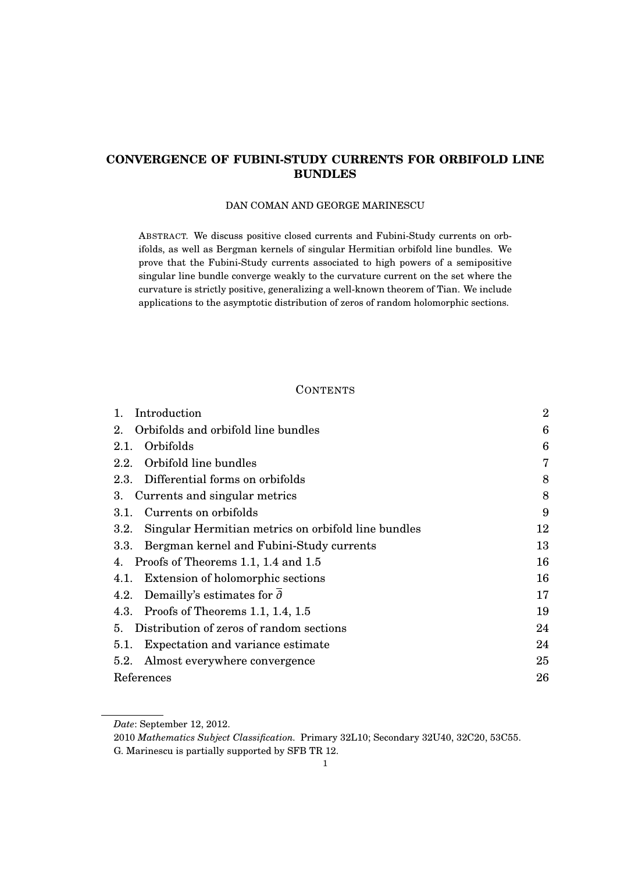# **CONVERGENCE OF FUBINI-STUDY CURRENTS FOR ORBIFOLD LINE BUNDLES**

## DAN COMAN AND GEORGE MARINESCU

ABSTRACT. We discuss positive closed currents and Fubini-Study currents on orbifolds, as well as Bergman kernels of singular Hermitian orbifold line bundles. We prove that the Fubini-Study currents associated to high powers of a semipositive singular line bundle converge weakly to the curvature current on the set where the curvature is strictly positive, generalizing a well-known theorem of Tian. We include applications to the asymptotic distribution of zeros of random holomorphic sections.

## **CONTENTS**

| Introduction<br>1.                                          | $\overline{2}$ |
|-------------------------------------------------------------|----------------|
| Orbifolds and orbifold line bundles<br>2.                   | 6              |
| Orbifolds<br>2.1.                                           | 6              |
| Orbifold line bundles<br>2.2.                               | 7              |
| 2.3. Differential forms on orbifolds                        | 8              |
| 3. Currents and singular metrics                            | 8              |
| Currents on orbifolds<br>3.1.                               | 9              |
| Singular Hermitian metrics on orbifold line bundles<br>3.2. | $12\,$         |
| Bergman kernel and Fubini-Study currents<br>3.3.            | 13             |
| 4. Proofs of Theorems 1.1, 1.4 and 1.5                      | 16             |
| Extension of holomorphic sections<br>4.1.                   | 16             |
| 4.2. Demailly's estimates for $\partial$                    | 17             |
| 4.3. Proofs of Theorems 1.1, 1.4, 1.5                       | 19             |
| 5. Distribution of zeros of random sections                 | 24             |
| Expectation and variance estimate<br>5.1.                   | 24             |
| 5.2. Almost everywhere convergence                          | 25             |
| References                                                  | 26             |

*Date*: September 12, 2012.

<sup>2010</sup> *Mathematics Subject Classification.* Primary 32L10; Secondary 32U40, 32C20, 53C55.

G. Marinescu is partially supported by SFB TR 12.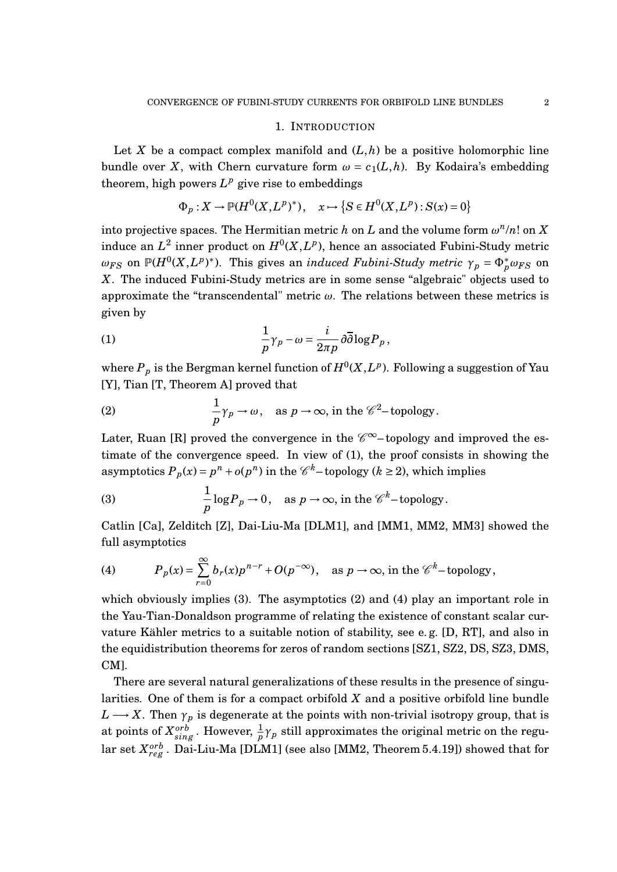### 1. INTRODUCTION

Let *X* be a compact complex manifold and  $(L, h)$  be a positive holomorphic line bundle over *X*, with Chern curvature form  $\omega = c_1(L, h)$ . By Kodaira's embedding theorem, high powers  $L^p$  give rise to embeddings

$$
\Phi_p: X \to \mathbb{P}(H^0(X, L^p)^*), \quad x \mapsto \{S \in H^0(X, L^p): S(x) = 0\}
$$

into projective spaces. The Hermitian metric *h* on *L* and the volume form  $\omega^n/n!$  on *X* induce an  $L^2$  inner product on  $H^0(X, L^p)$ , hence an associated Fubini-Study metric *ω*<sub>*FS*</sub> on  $\mathbb{P}(H^0(X, L^p)^*)$ . This gives an *induced Fubini-Study metric γ*<sub>*p*</sub> =  $\Phi_p^* \omega_{FS}$  on *X*. The induced Fubini-Study metrics are in some sense "algebraic" objects used to approximate the "transcendental" metric *ω*. The relations between these metrics is given by

(1) 
$$
\frac{1}{p}\gamma_p - \omega = \frac{i}{2\pi p}\partial\overline{\partial}\log P_p,
$$

where  $P_p$  is the Bergman kernel function of  $H^0(X, L^p)$ . Following a suggestion of Yau [Y], Tian [T, Theorem A] proved that

(2) 
$$
\frac{1}{p}\gamma_p \to \omega
$$
, as  $p \to \infty$ , in the  $\mathscr{C}^2$ -topology.

Later, Ruan [R] proved the convergence in the  $\mathscr{C}^{\infty}-$  topology and improved the estimate of the convergence speed. In view of (1), the proof consists in showing the asymptotics  $P_p(x) = p^n + o(p^n)$  in the  $\mathcal{C}^k$ –topology ( $k \ge 2$ ), which implies

(3) 
$$
\frac{1}{p}\log P_p \to 0
$$
, as  $p \to \infty$ , in the  $\mathscr{C}^k$ -topology.

Catlin [Ca], Zelditch [Z], Dai-Liu-Ma [DLM1], and [MM1, MM2, MM3] showed the full asymptotics

(4) 
$$
P_p(x) = \sum_{r=0}^{\infty} b_r(x) p^{n-r} + O(p^{-\infty}), \text{ as } p \to \infty, \text{ in the } \mathscr{C}^k-\text{topology},
$$

which obviously implies (3). The asymptotics (2) and (4) play an important role in the Yau-Tian-Donaldson programme of relating the existence of constant scalar curvature Kähler metrics to a suitable notion of stability, see e. g. [D, RT], and also in the equidistribution theorems for zeros of random sections [SZ1, SZ2, DS, SZ3, DMS, CM].

There are several natural generalizations of these results in the presence of singularities. One of them is for a compact orbifold *X* and a positive orbifold line bundle  $L \longrightarrow X$ . Then  $\gamma_p$  is degenerate at the points with non-trivial isotropy group, that is at points of  $X_{sing}^{orb}$ . However,  $\frac{1}{p}\gamma_p$  still approximates the original metric on the regular set  $X_{reg}^{orb}$  . Dai-Liu-Ma [DLM1] (see also [MM2, Theorem 5.4.19]) showed that for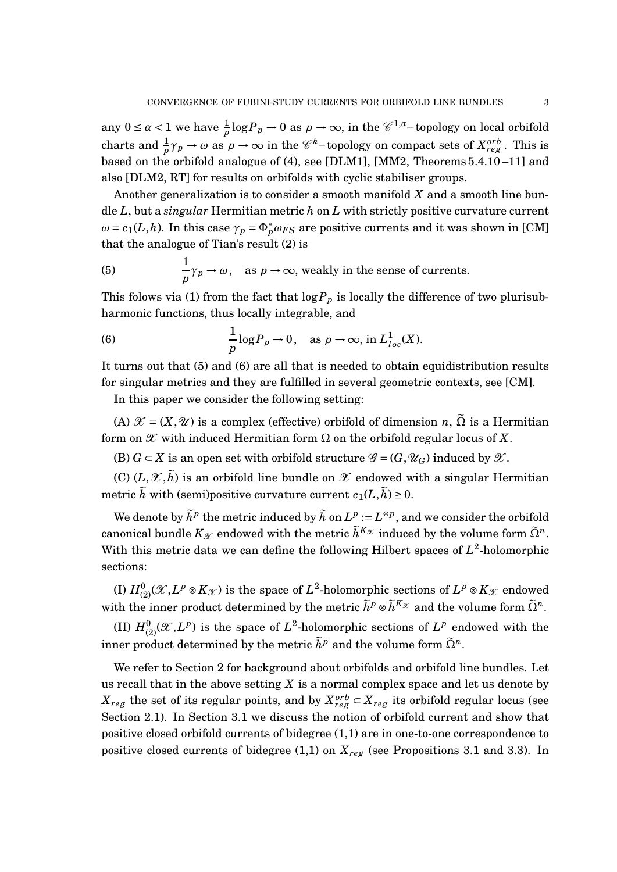any  $0 \le \alpha < 1$  we have  $\frac{1}{p} \log P_p \to 0$  as  $p \to \infty$ , in the  $\mathscr{C}^{1,\alpha}$ -topology on local orbifold charts and  $\frac{1}{p}\gamma_p \to \omega$  as  $p \to \infty$  in the  $\mathscr{C}^k$ –topology on compact sets of  $X_{reg}^{orb}$ . This is based on the orbifold analogue of (4), see [DLM1], [MM2, Theorems 5.4.10 –11] and also [DLM2, RT] for results on orbifolds with cyclic stabiliser groups.

Another generalization is to consider a smooth manifold *X* and a smooth line bundle *L*, but a *singular* Hermitian metric *h* on *L* with strictly positive curvature current *ω* = *c*<sub>1</sub>(*L*,*h*). In this case  $γ_p = Φ_p^* ω_{FS}$  are positive currents and it was shown in [CM] that the analogue of Tian's result (2) is

(5) 
$$
\frac{1}{p}\gamma_p \to \omega
$$
, as  $p \to \infty$ , weakly in the sense of currents.

This folows via (1) from the fact that  $\log P_p$  is locally the difference of two plurisubharmonic functions, thus locally integrable, and

(6) 
$$
\frac{1}{p}\log P_p \to 0, \text{ as } p \to \infty, \text{ in } L^1_{loc}(X).
$$

It turns out that (5) and (6) are all that is needed to obtain equidistribution results for singular metrics and they are fulfilled in several geometric contexts, see [CM].

In this paper we consider the following setting:

(A)  $\mathcal{X} = (X, \mathcal{U})$  is a complex (effective) orbifold of dimension *n*,  $\tilde{\Omega}$  is a Hermitian form on  $\mathscr X$  with induced Hermitian form  $\Omega$  on the orbifold regular locus of X.

(B)  $G \subset X$  is an open set with orbifold structure  $\mathscr{G} = (G, \mathscr{U}_G)$  induced by  $\mathscr{X}$ .

(C)  $(L,\mathscr{X},\tilde{h})$  is an orbifold line bundle on  $\mathscr{X}$  endowed with a singular Hermitian metric  $\tilde{h}$  with (semi)positive curvature current  $c_1(L, \tilde{h}) \geq 0$ .

We denote by  $\widetilde{h}^p$  the metric induced by  $\widetilde{h}$  on  $L^p:=L^{\otimes p}$ , and we consider the orbifold canonical bundle  $K_{\mathscr{X}}$  endowed with the metric  $\widetilde{h}^{K_{\mathscr{X}}}$  induced by the volume form  $\widetilde{\Omega}^n$ . With this metric data we can define the following Hilbert spaces of  $L^2$ -holomorphic sections:

(I)  $H^0_{(2)}(\mathscr{X}, L^p \otimes K_{\mathscr{X}})$  is the space of  $L^2$ -holomorphic sections of  $L^p \otimes K_{\mathscr{X}}$  endowed with the inner product determined by the metric  $\tilde{h}^p \otimes \tilde{h}^{K_{\mathscr{X}}}$  and the volume form  $\tilde{\Omega}^n$ .

(II)  $H^0_{(2)}(\mathscr{X}, L^p)$  is the space of  $L^2$ -holomorphic sections of  $L^p$  endowed with the inner product determined by the metric  $\tilde{h}^p$  and the volume form  $\tilde{\Omega}^n$ .

We refer to Section 2 for background about orbifolds and orbifold line bundles. Let us recall that in the above setting *X* is a normal complex space and let us denote by  $X_{reg}$  the set of its regular points, and by  $X^{orb}_{reg}$   $\subset$   $X_{reg}$  its orbifold regular locus (see Section 2.1). In Section 3.1 we discuss the notion of orbifold current and show that positive closed orbifold currents of bidegree (1,1) are in one-to-one correspondence to positive closed currents of bidegree  $(1,1)$  on  $X_{reg}$  (see Propositions 3.1 and 3.3). In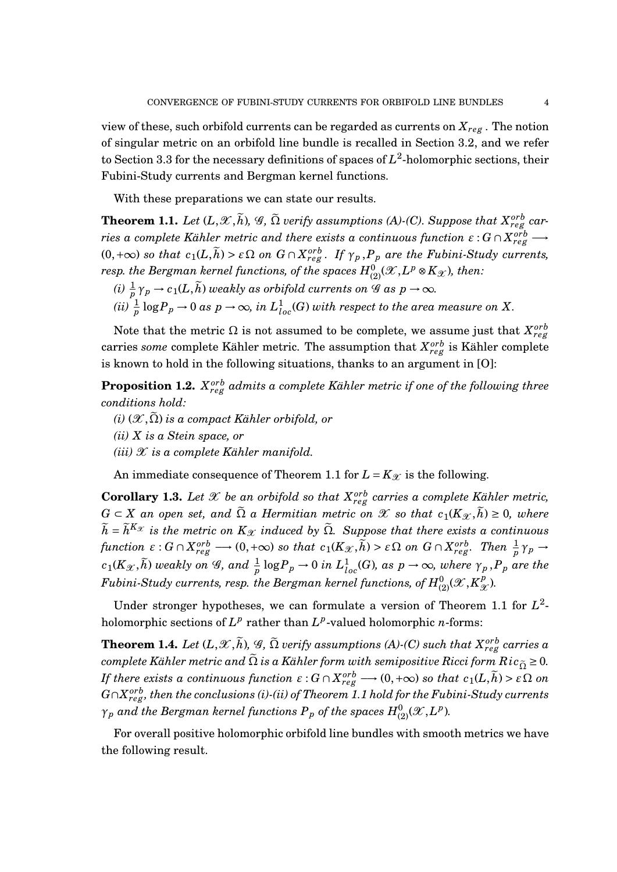view of these, such orbifold currents can be regarded as currents on  $X_{reg}$ . The notion of singular metric on an orbifold line bundle is recalled in Section 3.2, and we refer to Section 3.3 for the necessary definitions of spaces of  $L^2$ -holomorphic sections, their Fubini-Study currents and Bergman kernel functions.

With these preparations we can state our results.

**Theorem 1.1.** Let  $(L,\mathscr{X},\widetilde{h})$ ,  $\mathscr{G},\,\widetilde{\Omega}$  verify assumptions (A)-(C). Suppose that  $X_{reg}^{orb}$  car $r$ ies a complete Kähler metric and there exists a continuous function  $\varepsilon$  :  $G \cap X_{reg}^{orb}$   $\longrightarrow$  $(0, +\infty)$  *so that*  $c_1(L, \tilde{h}) > \varepsilon \Omega$  *on*  $G \cap X_{reg}^{orb}$ *. If*  $\gamma_p$ *,* $P_p$  *are the Fubini-Study currents,*  $r$ esp. the Bergman kernel functions, of the spaces  $H^0_{(2)}({\mathscr X}, L^p\otimes K_{\mathscr X}),$  then:

- $(i)$   $\frac{1}{p}\gamma_p \to c_1(L,\widetilde{h})$  *weakly as orbifold currents on G as*  $p \to \infty$ *.*
- $(iii)$   $\frac{1}{p}$   $\log P_p \to 0$  as  $p \to \infty$ , in  $L^1_{loc}(G)$  with respect to the area measure on  $X$ .

Note that the metric  $\Omega$  is not assumed to be complete, we assume just that  $X_{reg}^{orb}$ carries *some* complete Kähler metric. The assumption that  $X_{reg}^{orb}$  is Kähler complete is known to hold in the following situations, thanks to an argument in [O]:

 $\bf{Proposition~1.2.}$   $X_{reg}^{orb}$  admits a complete Kähler metric if one of the following three *conditions hold:*

 $(i)$   $(\mathscr{X}, \tilde{\Omega})$  *is a compact Kähler orbifold, or (ii) X is a Stein space, or*  $(iii)$   $X$  *is a complete Kähler manifold.* 

An immediate consequence of Theorem 1.1 for  $L = K_{\mathcal{X}}$  is the following.

**Corollary 1.3.** Let  $\mathscr X$  be an orbifold so that  $X_{reg}^{orb}$  carries a complete Kähler metric, *G* ⊂ *X an open set, and*  $\tilde{\Omega}$  *a Hermitian metric on*  $\mathcal{X}$  *so that*  $c_1(K_{\mathcal{X}}, \tilde{h}) \geq 0$ *, where*  $\widetilde{h} = \widetilde{h}^{K_{\mathcal{X}}}$  *is the metric on*  $K_{\mathcal{X}}$  *induced by*  $\widetilde{\Omega}$ *. Suppose that there exists a continuous* function  $\varepsilon: G \cap X_{reg}^{orb} \longrightarrow (0, +\infty)$  so that  $c_1(K_{\mathcal{X}}, \tilde{h}) > \varepsilon \Omega$  on  $G \cap X_{reg}^{orb}$ . Then  $\frac{1}{p} \gamma_p \rightarrow$  $c_1(K_\mathscr{X}, \widetilde{h})$  weakly on G, and  $\frac{1}{p} \log P_p \to 0$  in  $L^1_{loc}(G)$ , as  $p \to \infty$ , where  $\gamma_p$  , $P_p$  are the  $F$ ubini-Study currents, resp. the Bergman kernel functions, of  $H_{(2)}^{0}(\mathscr{X},K_{\mathscr{X}}^{p})$  $\frac{\rho}{\mathscr{X}}$ ).

Under stronger hypotheses, we can formulate a version of Theorem 1.1 for  $L^2$ holomorphic sections of  $L^p$  rather than  $L^p$ -valued holomorphic *n*-forms:

 ${\bf Theorem~1.4.}$   $Let \ (L,\mathscr{X},\tilde{h}), \mathscr{G},\ \tilde{\Omega}$  verify assumptions (A)-(C) such that  $X_{reg}^{orb}$  carries a *complete Kähler metric and*  $\tilde{\Omega}$  *is a Kähler form with semipositive Ricci form*  $Ric_{\tilde{\Omega}} \geq 0$ *. If there exists a continuous function*  $\varepsilon$  :  $G \cap X_{reg}^{orb} \longrightarrow (0, +\infty)$  so that  $c_1(L, \tilde{h}) > \varepsilon \Omega$  on  $G \cap X_{reg}^{orb},$  then the conclusions (i)-(ii) of Theorem 1.1 hold for the Fubini-Study currents  $\gamma_p$  *and the Bergman kernel functions*  $P_p$  *of the spaces*  $H^0_{(2)}(\mathscr{X}, L^p)$ *.* 

For overall positive holomorphic orbifold line bundles with smooth metrics we have the following result.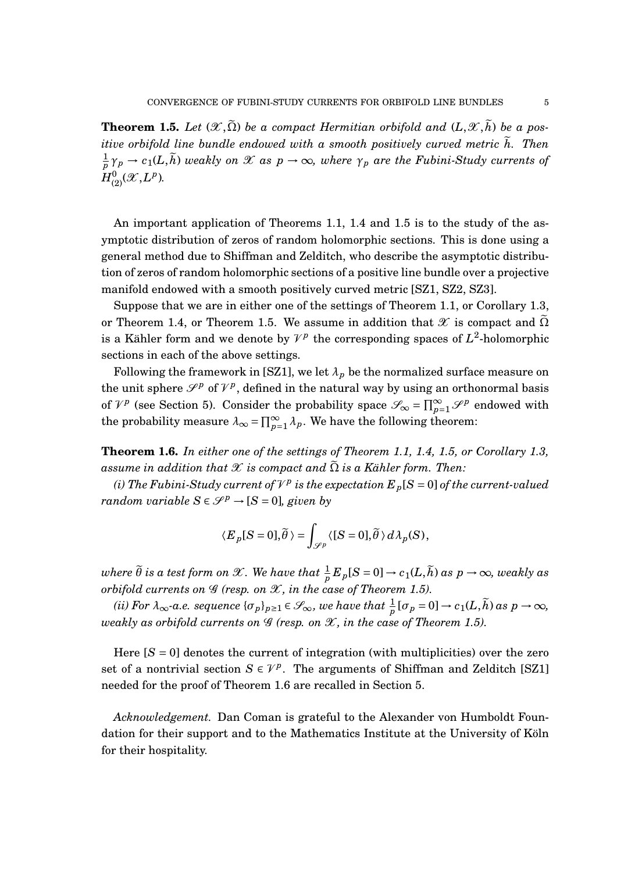**Theorem 1.5.** Let  $(\mathcal{X}, \tilde{\Omega})$  be a compact Hermitian orbifold and  $(L, \mathcal{X}, \tilde{h})$  be a pos*itive orbifold line bundle endowed with a smooth positively curved metric*  $\tilde{h}$ . Then 1  $\frac{1}{p}\gamma_p \to c_1(L,\widetilde{h})$  *weakly on*  $\mathscr X$  *as*  $p\to\infty$ *, where*  $\gamma_p$  *are the Fubini-Study currents of*  $H^0_{(2)}(\mathscr{X}, L^p).$ 

An important application of Theorems 1.1, 1.4 and 1.5 is to the study of the asymptotic distribution of zeros of random holomorphic sections. This is done using a general method due to Shiffman and Zelditch, who describe the asymptotic distribution of zeros of random holomorphic sections of a positive line bundle over a projective manifold endowed with a smooth positively curved metric [SZ1, SZ2, SZ3].

Suppose that we are in either one of the settings of Theorem 1.1, or Corollary 1.3, or Theorem 1.4, or Theorem 1.5. We assume in addition that  $\mathscr X$  is compact and  $\tilde{\Omega}$ is a Kähler form and we denote by  $\mathcal{V}^p$  the corresponding spaces of  $L^2$ -holomorphic sections in each of the above settings.

Following the framework in [SZ1], we let  $\lambda_p$  be the normalized surface measure on the unit sphere  $\mathscr{S}^p$  of  $\mathcal{V}^p$ , defined in the natural way by using an orthonormal basis of  $\mathcal{V}^p$  (see Section 5). Consider the probability space  $\mathcal{S}_{\infty} = \prod_{p=1}^{\infty} \mathcal{S}^p$  endowed with the probability measure  $\lambda_{\infty} = \prod_{p=1}^{\infty} \lambda_p$ . We have the following theorem:

**Theorem 1.6.** *In either one of the settings of Theorem 1.1, 1.4, 1.5, or Corollary 1.3, assume in addition that*  $\mathcal X$  *is compact and*  $\Omega$  *is a Kähler form. Then:* 

(*i*) The Fubini-Study current of  $V^p$  is the expectation  $E_p[S = 0]$  of the current-valued *random variable*  $S \in \mathcal{S}^p \rightarrow [S = 0]$ *, given by* 

$$
\langle E_p[S=0],\widetilde\theta \,\rangle = \int_{\mathscr{S}^p} \langle [S=0],\widetilde\theta \,\rangle \,d\lambda_p(S),
$$

 $where \ \widetilde{\theta} \ is \ a \ test \ form \ on \ \mathscr{X}. \ We \ have \ that \ \frac{1}{p}E_p[S=0] \to c_1(L,\widetilde{h}) \ as \ p \to \infty, \ weakly \ as$ *orbifold currents on*  $G$  *(resp. on*  $X$ *, in the case of Theorem 1.5).* 

*(ii)* For  $\lambda_{\infty}$ -a.e. sequence  $\{\sigma_p\}_{p\geq 1} \in \mathscr{S}_{\infty}$ , we have that  $\frac{1}{p} [\sigma_p = 0] \to c_1(L, \widetilde{h})$  as  $p \to \infty$ , *weakly as orbifold currents on*  $\mathscr G$  *(resp. on*  $\mathscr X$ *, in the case of Theorem 1.5).* 

Here  $[S = 0]$  denotes the current of integration (with multiplicities) over the zero set of a nontrivial section  $S \in \mathcal{V}^p$ . The arguments of Shiffman and Zelditch [SZ1] needed for the proof of Theorem 1.6 are recalled in Section 5.

*Acknowledgement.* Dan Coman is grateful to the Alexander von Humboldt Foundation for their support and to the Mathematics Institute at the University of Köln for their hospitality.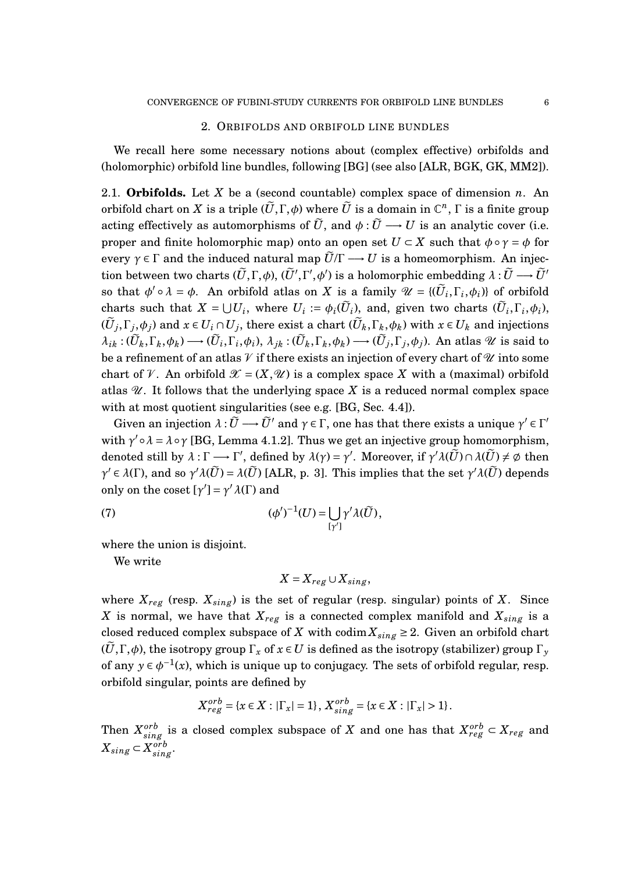#### 2. ORBIFOLDS AND ORBIFOLD LINE BUNDLES

We recall here some necessary notions about (complex effective) orbifolds and (holomorphic) orbifold line bundles, following [BG] (see also [ALR, BGK, GK, MM2]).

2.1. **Orbifolds.** Let *X* be a (second countable) complex space of dimension *n*. An  $\widetilde{U}$  orbifold chart on  $X$  is a triple  $(\widetilde{U}, \Gamma, \phi)$  where  $\widetilde{U}$  is a domain in  $\mathbb{C}^n$ ,  $\Gamma$  is a finite group acting effectively as automorphisms of  $\tilde{U}$ , and  $\phi : \tilde{U} \longrightarrow U$  is an analytic cover (i.e. proper and finite holomorphic map) onto an open set  $U \subset X$  such that  $\phi \circ \gamma = \phi$  for every  $\gamma \in \Gamma$  and the induced natural map  $\tilde{U}/\Gamma \longrightarrow U$  is a homeomorphism. An injec- $\tilde{U}$  tion between two charts  $(\tilde{U}, \Gamma, \phi), (\tilde{U}', \Gamma', \phi')$  is a holomorphic embedding  $\lambda: \tilde{U} \longrightarrow \tilde{U}'$ so that  $\phi' \circ \lambda = \phi$ . An orbifold atlas on *X* is a family  $\mathcal{U} = \{(\widetilde{U}_i, \Gamma_i, \phi_i)\}\$  of orbifold charts such that  $X = \bigcup U_i$ , where  $U_i := \phi_i(\widetilde{U}_i)$ , and, given two charts  $(\widetilde{U}_i, \Gamma_i, \phi_i)$ ,  $(\widetilde{U}_j, \Gamma_j, \phi_j)$  and  $x \in U_i \cap U_j$ , there exist a chart  $(\widetilde{U}_k, \Gamma_k, \phi_k)$  with  $x \in U_k$  and injections  $\lambda_{ik}:(\widetilde{U}_k,\Gamma_k,\phi_k)\longrightarrow(\widetilde{U}_i,\Gamma_i,\phi_i),\ \lambda_{jk}:(\widetilde{U}_k,\Gamma_k,\phi_k)\longrightarrow(\widetilde{U}_j,\Gamma_j,\phi_j).$  An atlas  $\mathscr U$  is said to be a refinement of an atlas  $V$  if there exists an injection of every chart of  $U$  into some chart of V. An orbifold  $\mathcal{X} = (X, \mathcal{U})$  is a complex space X with a (maximal) orbifold atlas  $\mathcal{U}$ . It follows that the underlying space X is a reduced normal complex space with at most quotient singularities (see e.g. [BG, Sec. 4.4]).

Given an injection  $\lambda : \widetilde{U} \longrightarrow \widetilde{U}'$  and  $\gamma \in \Gamma$ , one has that there exists a unique  $\gamma' \in \Gamma'$ with  $\gamma' \circ \lambda = \lambda \circ \gamma$  [BG, Lemma 4.1.2]. Thus we get an injective group homomorphism, denoted still by  $\lambda : \Gamma \longrightarrow \Gamma'$ , defined by  $\lambda(\gamma) = \gamma'$ . Moreover, if  $\gamma' \lambda(\widetilde{U}) \cap \lambda(\widetilde{U}) \neq \emptyset$  then  $\gamma' \in \lambda(\Gamma)$ , and so  $\gamma' \lambda(\widetilde{U}) = \lambda(\widetilde{U})$  [ALR, p. 3]. This implies that the set  $\gamma' \lambda(\widetilde{U})$  depends only on the coset  $[\gamma'] = \gamma' \lambda(\Gamma)$  and

(7) 
$$
(\phi')^{-1}(U) = \bigcup_{[\gamma']} \gamma' \lambda(\widetilde{U}),
$$

where the union is disjoint.

We write

$$
X=X_{reg}\cup X_{sing},
$$

where  $X_{reg}$  (resp.  $X_{sing}$ ) is the set of regular (resp. singular) points of X. Since *X* is normal, we have that  $X_{reg}$  is a connected complex manifold and  $X_{sing}$  is a closed reduced complex subspace of *X* with codim  $X_{sing} \geq 2$ . Given an orbifold chart  $(\tilde{U}, \Gamma, \phi)$ , the isotropy group  $\Gamma_x$  of  $x \in U$  is defined as the isotropy (stabilizer) group  $\Gamma_y$ of any  $y \in \phi^{-1}(x)$ , which is unique up to conjugacy. The sets of orbifold regular, resp. orbifold singular, points are defined by

$$
X_{reg}^{orb} = \{x \in X : |\Gamma_x| = 1\}, X_{sing}^{orb} = \{x \in X : |\Gamma_x| > 1\}.
$$

Then  $X_{sing}^{orb}$  is a closed complex subspace of *X* and one has that  $X_{reg}^{orb} \subset X_{reg}$  and  $X_{sing}$  ⊂  $X_{sing}^{orb}$ .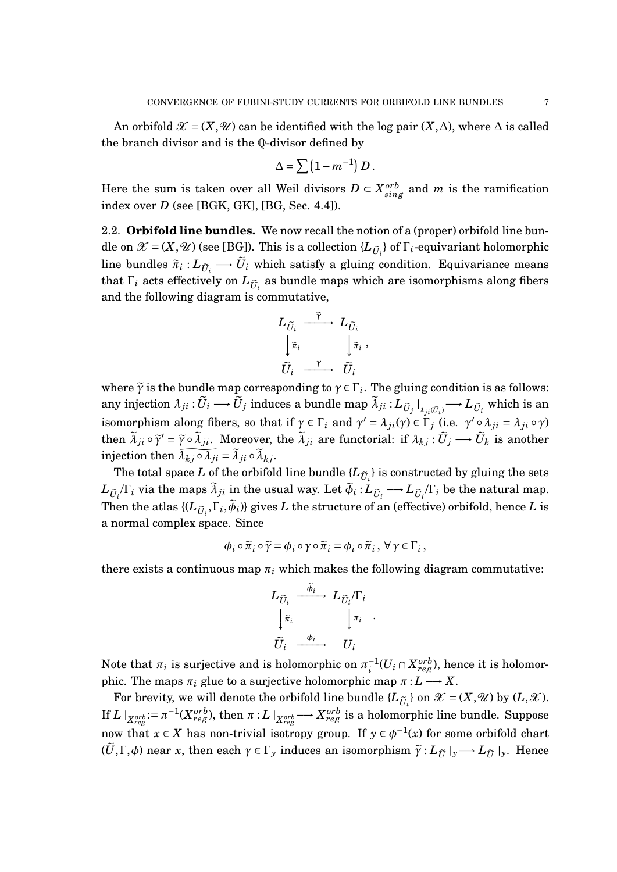An orbifold  $\mathcal{X} = (X, \mathcal{U})$  can be identified with the log pair  $(X, \Delta)$ , where  $\Delta$  is called the branch divisor and is the Q-divisor defined by

$$
\Delta = \sum (1 - m^{-1}) D.
$$

Here the sum is taken over all Weil divisors  $D \subset X_{sing}^{orb}$  and  $m$  is the ramification index over *D* (see [BGK, GK], [BG, Sec. 4.4]).

2.2. **Orbifold line bundles.** We now recall the notion of a (proper) orbifold line bundle on  $\mathcal{X} = (X, \mathcal{U})$  (see [BG]). This is a collection  $\{L_{\tilde{U}_i}\}\$  of  $\Gamma_i$ -equivariant holomorphic line bundles  $\tilde{\pi}_i: L_{\tilde{U}_i} \longrightarrow \tilde{U}_i$  which satisfy a gluing condition. Equivariance means that  $\Gamma_i$  acts effectively on  $L_{\tilde{U}_i}$  as bundle maps which are isomorphisms along fibers and the following diagram is commutative,

$$
L_{\widetilde{U}_i} \xrightarrow{\widetilde{\gamma}} L_{\widetilde{U}_i}
$$

$$
\downarrow \widetilde{\pi}_i \qquad \qquad \downarrow \widetilde{\pi}_i
$$

$$
\widetilde{U}_i \xrightarrow{\gamma} \widetilde{U}_i
$$

,

where  $\tilde{\gamma}$  is the bundle map corresponding to  $\gamma \in \Gamma_i$ . The gluing condition is as follows:  $\text{any injection } \lambda_{ji} : \widetilde{U}_i \longrightarrow \widetilde{U}_j \text{ induces a bundle map } \widetilde{\lambda}_{ji} : L_{\widetilde{U}_j} \mid$  $\mu_{ji}(\tilde{U}_i) \longrightarrow L_{\tilde{U}_i}$  which is an isomorphism along fibers, so that if  $\gamma \in \Gamma_i$  and  $\gamma' = \lambda_{ji}(\gamma) \in \Gamma_j$  (i.e.  $\gamma' \circ \lambda_{ji} = \lambda_{ji} \circ \gamma$ ) then  $\tilde{\lambda}_{ji} \circ \tilde{\gamma}' = \tilde{\gamma} \circ \tilde{\lambda}_{ji}$ . Moreover, the  $\tilde{\lambda}_{ji}$  are functorial: if  $\lambda_{kj} : \tilde{U}_j \longrightarrow \tilde{U}_k$  is another injection then  $\overline{\lambda_{kj} \circ \lambda_{ji}} = \overline{\lambda}_{ji} \circ \overline{\lambda}_{kj}$ .

The total space *L* of the orbifold line bundle  $\{L_{\tilde{U}_i}\}$  is constructed by gluing the sets  $L_{\tilde{U}_i}$  *C*<sub>*i*</sub></sub> in the usual way. Let  $\tilde{\phi}_i$  :  $L_{\tilde{U}_i} \longrightarrow L_{\tilde{U}_i}$  *C*<sub>*i*</sub> be the natural map. Then the atlas  $\{ (L_{\tilde{U}_i}, \Gamma_i, \phi_i) \}$  gives *L* the structure of an (effective) orbifold, hence *L* is a normal complex space. Since

$$
\phi_i \circ \widetilde{\pi}_i \circ \widetilde{\gamma} = \phi_i \circ \gamma \circ \widetilde{\pi}_i = \phi_i \circ \widetilde{\pi}_i, \ \forall \ \gamma \in \Gamma_i,
$$

there exists a continuous map  $\pi_i$  which makes the following diagram commutative:

$$
L_{\widetilde{U}_i} \xrightarrow{\widetilde{\phi}_i} L_{\widetilde{U}_i}/\Gamma_i
$$

$$
\downarrow \widetilde{\pi}_i \qquad \qquad \downarrow \pi_i
$$

$$
\widetilde{U}_i \xrightarrow{\phi_i} U_i
$$

.

Note that  $\pi_i$  is surjective and is holomorphic on  $\pi_i^{-1}$  $\int_i^{-1} (U_i \cap X_{reg}^{orb}),$  hence it is holomorphic. The maps  $\pi_i$  glue to a surjective holomorphic map  $\pi: L \longrightarrow X$ .

For brevity, we will denote the orbifold line bundle  ${L_{\tilde{U}_i}}$  on  $\mathcal{X} = (X, \mathcal{U})$  by  $(L, \mathcal{X})$ . If  $L\mid_{X_{reg}^{orb}}:=\pi^{-1}(X_{reg}^{orb})$ , then  $\pi:L\mid_{X_{reg}^{orb}}\longrightarrow X_{reg}^{orb}$  is a holomorphic line bundle. Suppose now that  $x \in X$  has non-trivial isotropy group. If  $y \in \phi^{-1}(x)$  for some orbifold chart  $(U, \Gamma, \phi)$  near *x*, then each  $\gamma \in \Gamma_y$  induces an isomorphism  $\tilde{\gamma}: L_{\tilde{U}} \mid_y \longrightarrow L_{\tilde{U}} \mid_y$ . Hence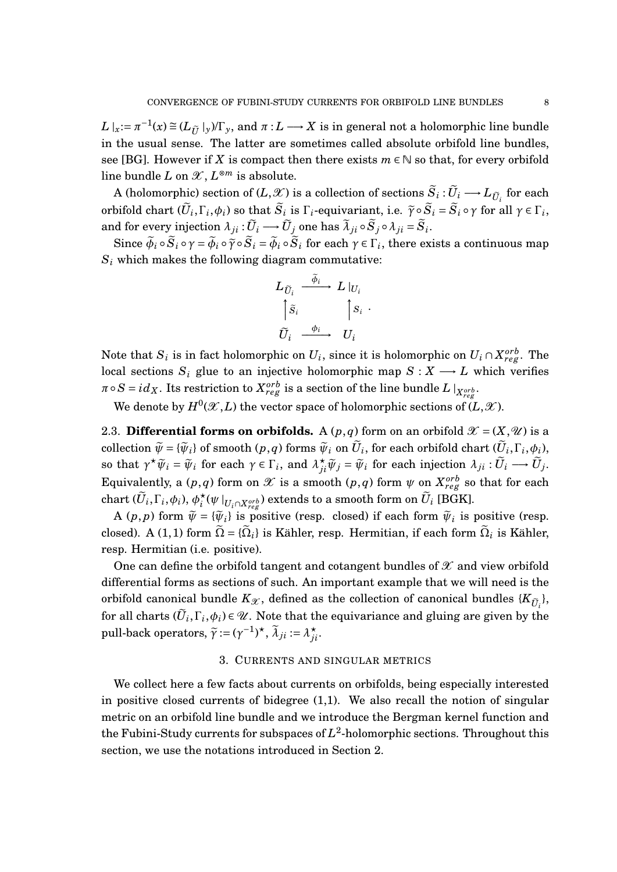$L|_{x} := \pi^{-1}(x) \cong (L_{\tilde{U}}|_{y})/\Gamma_{y}$ , and  $\pi: L \longrightarrow X$  is in general not a holomorphic line bundle in the usual sense. The latter are sometimes called absolute orbifold line bundles, see [BG]. However if *X* is compact then there exists  $m \in \mathbb{N}$  so that, for every orbifold  $\lim_{\varepsilon}$  bundle *L* on  $\mathscr{X}, L^{\otimes m}$  is absolute.

 $A$  (holomorphic) section of (*L*,  $\mathscr{X}$ ) is a collection of sections  $\widetilde{S}_i : \widetilde{U}_i \longrightarrow L_{\widetilde{U}_i}$  for each orbifold chart  $(\widetilde{U}_i, \Gamma_i, \phi_i)$  so that  $\widetilde{S}_i$  is  $\Gamma_i$ -equivariant, i.e.  $\widetilde{\gamma} \circ \widetilde{S}_i = \widetilde{S}_i \circ \gamma$  for all  $\gamma \in \Gamma_i$ ,  $\partial_i$  and for every injection  $\lambda_{ji} : \widetilde{U}_i \longrightarrow \widetilde{U}_j$  one has  $\widetilde{\lambda}_{ji} \circ \widetilde{S}_j \circ \lambda_{ji} = \widetilde{S}_i$ .

Since  $\widetilde{\phi}_i \circ \widetilde{S}_i \circ \gamma = \widetilde{\phi}_i \circ \widetilde{\gamma} \circ \widetilde{S}_i = \widetilde{\phi}_i \circ \widetilde{S}_i$  for each  $\gamma \in \Gamma_i$ , there exists a continuous map  $S_i$  which makes the following diagram commutative:

$$
L_{\widetilde{U}_i} \xrightarrow{\widetilde{\phi}_i} L|_{U_i}
$$

$$
\begin{bmatrix} \tilde{S}_i & |S_i| \\ \tilde{U}_i & \xrightarrow{\phi_i} & U_i \end{bmatrix}
$$

Note that  $S_i$  is in fact holomorphic on  $U_i$ , since it is holomorphic on  $U_i \cap X_{reg}^{orb}$ . The local sections  $S_i$  glue to an injective holomorphic map  $S: X \longrightarrow L$  which verifies  $\pi \circ S = id_X$ . Its restriction to  $X_{reg}^{orb}$  is a section of the line bundle  $L\mid_{X_{reg}^{orb}}$ 

We denote by  $H^0(\mathscr{X}, L)$  the vector space of holomorphic sections of  $(L,\mathscr{X})$ .

2.3. **Differential forms on orbifolds.** A  $(p,q)$  form on an orbifold  $\mathcal{X} = (X,\mathcal{U})$  is a  $\widetilde{\psi} = {\widetilde{\psi}_i} \text{ of smooth } (p, q) \text{ forms } \widetilde{\psi}_i \text{ on } \widetilde{U}_i, \text{ for each orbifold chart } (\widetilde{U}_i, \Gamma_i, \phi_i),$ so that  $\gamma^{\star}\widetilde{\psi}_i = \widetilde{\psi}_i$  for each  $\gamma \in \Gamma_i$ , and  $\lambda_{ji}^{\star}\widetilde{\psi}_j = \widetilde{\psi}_i$  for each injection  $\lambda_{ji} : \widetilde{U}_i \longrightarrow \widetilde{U}_j$ . Equivalently, a  $(p,q)$  form on  $\mathscr X$  is a smooth  $(p,q)$  form  $\psi$  on  $X^{orb}_{reg}$  so that for each chart  $(\tilde{U}_i, \Gamma_i, \phi_i), \phi_i^{\star}$  $\int\limits_0^\star (\psi \,|_{U_i \cap X^{orb}_{reg}})$  extends to a smooth form on  $\widetilde{U}_i$  [BGK].

A  $(p, p)$  form  $\widetilde{\psi} = {\widetilde{\psi}_i}$  is positive (resp. closed) if each form  $\widetilde{\psi}_i$  is positive (resp. closed). A (1,1) form  $\widetilde{\Omega} = \{\widetilde{\Omega}_i\}$  is Kähler, resp. Hermitian, if each form  $\widetilde{\Omega}_i$  is Kähler, resp. Hermitian (i.e. positive).

One can define the orbifold tangent and cotangent bundles of  $\mathscr X$  and view orbifold differential forms as sections of such. An important example that we will need is the orbifold canonical bundle  $K_{\mathcal{X}}$ , defined as the collection of canonical bundles  $\{K_{\tilde{U}_i}\},$ for all charts  $(\widetilde{U}_i, \Gamma_i, \phi_i) \in \mathcal{U}$ . Note that the equivariance and gluing are given by the pull-back operators,  $\widetilde{\gamma} := (\gamma^{-1})^{\star}, \widetilde{\lambda}_{ji} := \lambda_{ji}^{\star}$ .

#### 3. CURRENTS AND SINGULAR METRICS

We collect here a few facts about currents on orbifolds, being especially interested in positive closed currents of bidegree (1,1). We also recall the notion of singular metric on an orbifold line bundle and we introduce the Bergman kernel function and the Fubini-Study currents for subspaces of  $L^2$ -holomorphic sections. Throughout this section, we use the notations introduced in Section 2.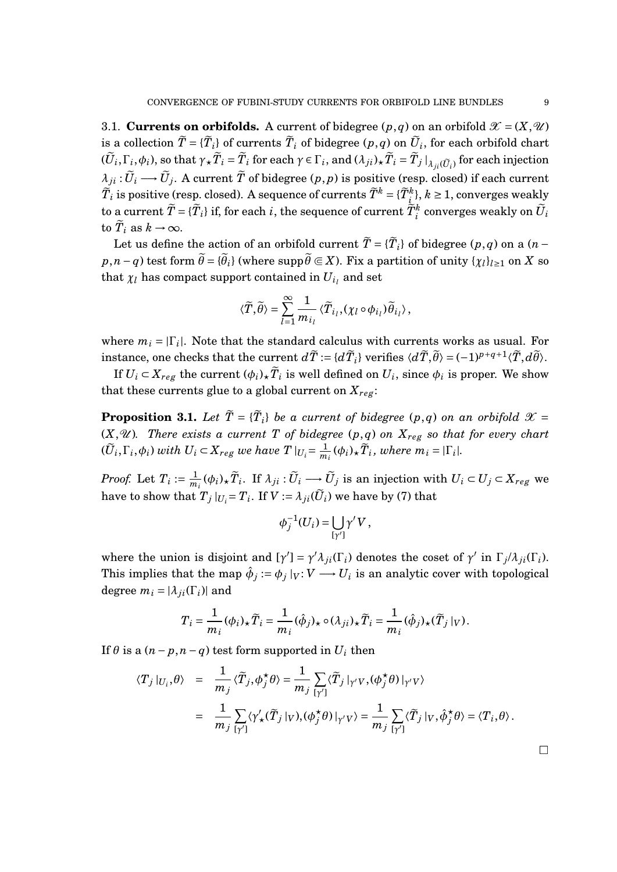3.1. **Currents on orbifolds.** A current of bidegree  $(p,q)$  on an orbifold  $\mathcal{X} = (X,\mathcal{U})$ is a collection  $\widetilde{T} = \{\widetilde{T}_i\}$  of currents  $\widetilde{T}_i$  of bidegree  $(p, q)$  on  $\widetilde{U}_i$ , for each orbifold chart  $(\widetilde{U}_i,\Gamma_i,\phi_i),$  so that  $\gamma_{\star}\widetilde{T}_i=\widetilde{T}_i$  for each  $\gamma\in\Gamma_i,$  and  $(\lambda_{ji})_{\star}\widetilde{T}_i=\widetilde{T}_j\left.\right|_{\lambda_{ji}(\widetilde{U}_i)}$  for each injection  $\lambda_{ji} : \widetilde{U}_i \longrightarrow \widetilde{U}_j.$  A current  $\widetilde{T}$  of bidegree  $(p, p)$  is positive (resp. closed) if each current  $\widetilde{T}_i$  is positive (resp. closed). A sequence of currents  $\widetilde{T}^k = \{\widetilde{T}_{\substack{i,j\in\mathbb{N},\\ \sim}}\}$  ,  $k\geq 1$ , converges weakly to a current  $\widetilde{T} = \{\widetilde{T}_i\}$  if, for each  $i$ , the sequence of current  $\widetilde{T}^k_{i}$  converges weakly on  $\widetilde{U}_i$ to  $\tilde{T}_i$  as  $k \to \infty$ .

Let us define the action of an orbifold current  $\widetilde{T} = {\{\widetilde{T}_i\}}$  of bidegree  $(p, q)$  on a  $(n$  $p, n - q$ ) test form  $\widetilde{\theta} = {\{\widetilde{\theta}_i\}}$  (where  $\mathrm{supp} \widetilde{\theta} \Subset X$ ). Fix a partition of unity  $\{\chi_l\}_{l \geq 1}$  on  $X$  so that  $\chi_l$  has compact support contained in  $U_{i_l}$  and set

$$
\langle \widetilde{T}, \widetilde{\theta} \rangle = \sum_{l=1}^{\infty} \frac{1}{m_{i_l}} \langle \widetilde{T}_{i_l}, (\chi_l \circ \phi_{i_l}) \widetilde{\theta}_{i_l} \rangle,
$$

where  $m_i = |\Gamma_i|$ . Note that the standard calculus with currents works as usual. For  $i$  instance, one checks that the current  $d\widetilde{T}:=\{d\widetilde{T}_i\}$  verifies  $\langle d\widetilde{T},\widetilde{\theta}\rangle=(-1)^{p+q+1}\langle \widetilde{T},d\widetilde{\theta}\rangle.$ 

If  $U_i \subset X_{reg}$  the current  $(\phi_i)_\star \widetilde{T}_i$  is well defined on  $U_i$ , since  $\phi_i$  is proper. We show that these currents glue to a global current on  $X_{reg}$ :

**Proposition 3.1.** Let  $\widetilde{T} = {\{\widetilde{T}_i\}}$  be a current of bidegree  $(p,q)$  on an orbifold  $\mathcal{X} =$  $(X, \mathcal{U})$ *. There exists a current T of bidegree*  $(p, q)$  *on*  $X_{reg}$  *so that for every chart*  $(\widetilde{U}_i, \Gamma_i, \phi_i)$  with  $U_i \subset X_{reg}$  we have  $T|_{U_i} = \frac{1}{m}$  $\frac{1}{m_i}(\phi_i)_\star \widetilde{T}_i$ , where  $m_i = |\Gamma_i|$ .

*Proof.* Let  $T_i := \frac{1}{m}$  $\frac{1}{m_i}(\phi_i)_\star \widetilde{T}_i$ . If  $\lambda_{ji}$  :  $\widetilde{U}_i \longrightarrow \widetilde{U}_j$  is an injection with  $U_i \subset U_j \subset X_{reg}$  we have to show that  $T_j|_{U_i} = T_i$ . If  $V := \lambda_{ji}(\widetilde{U}_i)$  we have by (7) that

$$
\phi_j^{-1}(U_i) = \bigcup_{[\gamma']} \gamma' V,
$$

where the union is disjoint and  $[\gamma'] = \gamma' \lambda_{ji}(\Gamma_i)$  denotes the coset of  $\gamma'$  in  $\Gamma_j/\lambda_{ji}(\Gamma_i)$ . This implies that the map  $\hat{\phi}_j := \phi_j\|_V : V \longrightarrow U_i$  is an analytic cover with topological degree  $m_i = |\lambda_{ji}(\Gamma_i)|$  and

$$
T_i = \frac{1}{m_i} (\phi_i)_\star \widetilde{T}_i = \frac{1}{m_i} (\hat{\phi}_j)_\star \circ (\lambda_{ji})_\star \widetilde{T}_i = \frac{1}{m_i} (\hat{\phi}_j)_\star (\widetilde{T}_j|_V).
$$

If  $\theta$  is a  $(n-p, n-q)$  test form supported in  $U_i$  then

$$
\langle T_j |_{U_i}, \theta \rangle = \frac{1}{m_j} \langle \widetilde{T}_j, \phi_j^{\star} \theta \rangle = \frac{1}{m_j} \sum_{[\gamma']} \langle \widetilde{T}_j |_{\gamma' V}, (\phi_j^{\star} \theta) |_{\gamma' V} \rangle
$$
  

$$
= \frac{1}{m_j} \sum_{[\gamma']} \langle \gamma_{\star}'(\widetilde{T}_j |_{V}), (\phi_j^{\star} \theta) |_{\gamma' V} \rangle = \frac{1}{m_j} \sum_{[\gamma']} \langle \widetilde{T}_j |_{V}, \hat{\phi}_j^{\star} \theta \rangle = \langle T_i, \theta \rangle.
$$

 $\Box$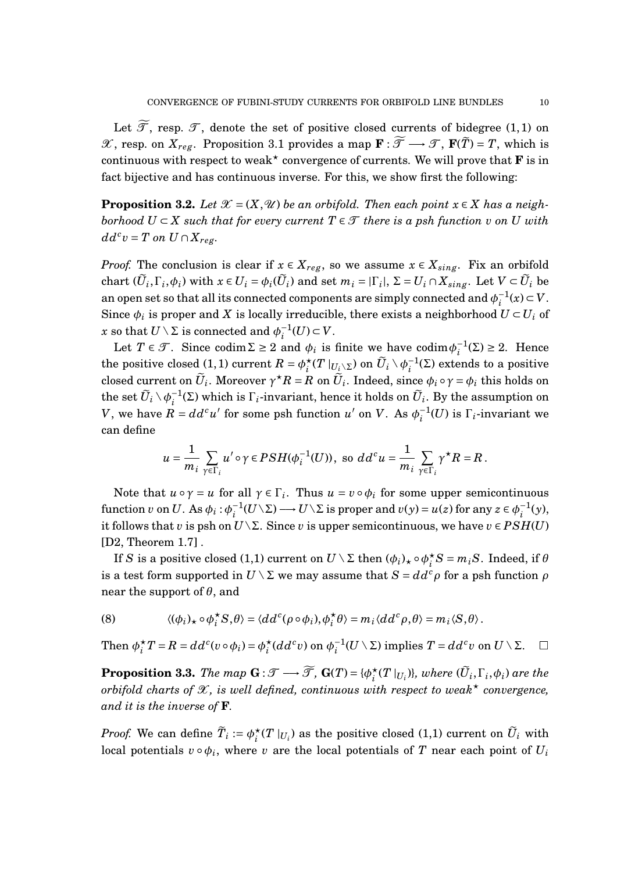Let  $\widetilde{\mathcal{T}}$ , resp.  $\mathcal{T}$ , denote the set of positive closed currents of bidegree (1,1) on X, resp. on  $X_{reg}$ . Proposition 3.1 provides a map **F** :  $\widetilde{\mathcal{T}}$  →  $\mathcal{T}$ , **F**( $\widetilde{T}$ ) = *T*, which is continuous with respect to weak<sup>\*</sup> convergence of currents. We will prove that **F** is in fact bijective and has continuous inverse. For this, we show first the following:

**Proposition 3.2.** *Let*  $\mathcal{X} = (X, \mathcal{U})$  *be an orbifold. Then each point*  $x \in X$  *has a neighborhood*  $U \subset X$  *such that for every current*  $T \in \mathcal{T}$  *there is a psh function v on U with*  $dd^c v = T$  *on*  $U \cap X_{reg}$ .

*Proof.* The conclusion is clear if  $x \in X_{reg}$ , so we assume  $x \in X_{sing}$ . Fix an orbifold chart  $(\widetilde{U}_i, \Gamma_i, \phi_i)$  with  $x \in U_i = \phi_i(\widetilde{U}_i)$  and set  $m_i = |\Gamma_i|$ ,  $\Sigma = U_i \cap X_{sing}$ . Let  $V \subset \widetilde{U}_i$  be an open set so that all its connected components are simply connected and  $\phi_i^{-1}$  $i^{-1}(x)$  ⊂ *V*. Since  $\phi_i$  is proper and *X* is locally irreducible, there exists a neighborhood  $U \subset U_i$  of  $x$  so that  $U \setminus \Sigma$  is connected and  $\phi_i^{-1}$  $i^{-1}(U)$  ⊂ *V*.

Let  $T \in \mathcal{T}$ . Since codim  $\Sigma \ge 2$  and  $\phi_i$  is finite we have codim  $\phi_i^{-1}$  $i^{-1}(\Sigma) \geq 2$ . Hence the positive closed (1, 1) current  $R = \phi_i^*$  $\int\limits_{i}^{\star}(T\mid_{U_{\underline{i}}\setminus\Sigma})$  on  $\widetilde{U}_{i}\setminus\phi_{i}^{-1}$  $i^{\text{-1}}$ (Σ) extends to a positive  $\tilde{U}_i$ . Moreover  $\gamma^{\star}R = R$  on  $\tilde{U}_i$ . Indeed, since  $\phi_i \circ \gamma = \phi_i$  this holds on the set  $\widetilde{U}_i \setminus \phi_i^{-1}$  $\overline{L}_i^{-1}$ (Σ) which is Γ<sub>*i*</sub>-invariant, hence it holds on  $U_i$ . By the assumption on *V*, we have  $\overline{R} = dd^c u'$  for some psh function *u'* on *V*. As  $\phi_i^{-1}$  $\int_{i}^{-1}(U)$  is  $\Gamma_i$ -invariant we can define

$$
u=\frac{1}{m_i}\sum_{\gamma\in\Gamma_i}u'\circ\gamma\in PSH(\phi_i^{-1}(U)),\text{ so }dd^cu=\frac{1}{m_i}\sum_{\gamma\in\Gamma_i}\gamma^{\star}R=R.
$$

Note that  $u \circ \gamma = u$  for all  $\gamma \in \Gamma_i$ . Thus  $u = v \circ \phi_i$  for some upper semicontinuous function *v* on *U*. As  $\phi_i : \phi_i^{-1}$  $i$ <sup>-1</sup>( $U\setminus\Sigma$ )  $\longrightarrow$   $U\setminus\Sigma$  is proper and  $v(y)$  =  $u(z)$  for any  $z\in \phi_i^{-1}$  $i^{-1}(y)$ , it follows that *v* is psh on  $U\setminus\Sigma$ . Since *v* is upper semicontinuous, we have  $v \in PSH(U)$ [D2, Theorem 1.7] .

If *S* is a positive closed (1,1) current on  $U \setminus \Sigma$  then  $(\phi_i)_\star \circ \phi_i^*$  $i<sup>k</sup>$ *S* = *mi*<sup>*S*</sup>. Indeed, if *θ* is a test form supported in  $U \setminus \Sigma$  we may assume that  $S = dd^c \rho$  for a psh function  $\rho$ near the support of *θ*, and

(8) 
$$
\langle (\phi_i)_\star \circ \phi_i^\star S, \theta \rangle = \langle dd^c(\rho \circ \phi_i), \phi_i^\star \theta \rangle = m_i \langle dd^c \rho, \theta \rangle = m_i \langle S, \theta \rangle.
$$

Then  $\phi_i^{\star}$  $\phi_i^{\star} T = R = dd^c(v \circ \phi_i) = \phi_i^{\star}$  $\int_i^{\star} (dd^c v)$  on  $\phi_i^{-1}$  $i$ <sup>-1</sup>(*U* ∖ ∑) implies *T* = *dd*<sup>*c*</sup>*v* on *U* ∖ ∑. □

**Proposition 3.3.** *The map*  $\mathbf{G} : \mathcal{T} \longrightarrow \widetilde{\mathcal{T}}$ *,*  $\mathbf{G}(T) = \{\phi_i^{\star}\}$  $\int_{i}^{*}(T|_{U_{i}})$ }*, where*  $(\widetilde{U}_{i},\Gamma_{i},\phi_{i})$  are the *orbifold charts of*  $\mathcal{X}$ *, is well defined, continuous with respect to weak*<sup>\*</sup> *convergence, and it is the inverse of* **F***.*

*Proof.* We can define  $\widetilde{T}_i := \phi_i^{\star}$  $\sum_{i}^{\star}(T\mid_{U_{i}})$  as the positive closed (1,1) current on  $\widetilde{U}_{i}$  with local potentials  $v \circ \phi_i$ , where  $v$  are the local potentials of  $T$  near each point of  $U_i$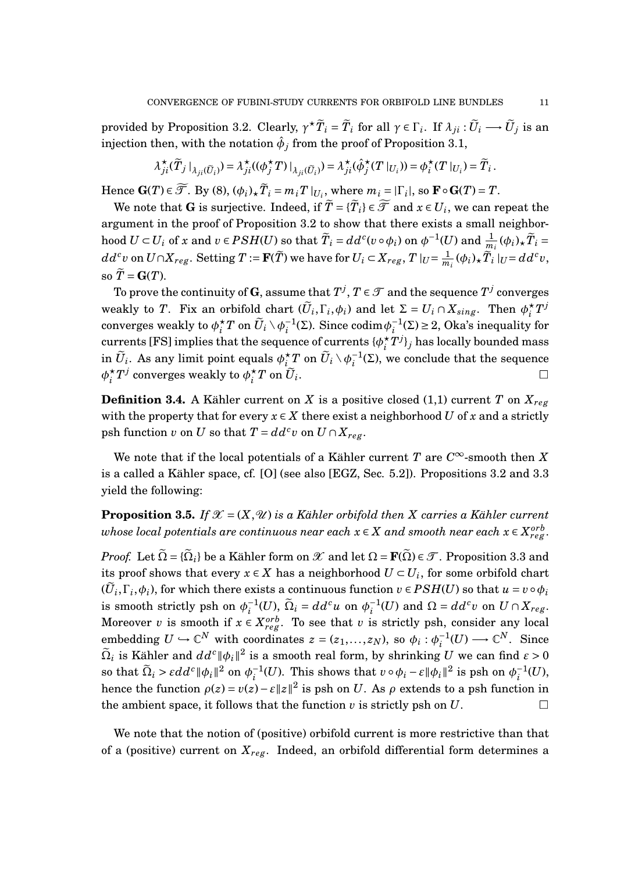provided by Proposition 3.2. Clearly,  $\gamma^{\star} \tilde{T}_i = \tilde{T}_i$  for all  $\gamma \in \Gamma_i$ . If  $\lambda_{ji} : \tilde{U}_i \longrightarrow \tilde{U}_j$  is an injection then, with the notation  $\hat{\phi}_j$  from the proof of Proposition 3.1,

$$
\lambda_{ji}^{\star}(\tilde{T}_j \mid_{\lambda_{ji}(\tilde{U}_i)}) = \lambda_{ji}^{\star}((\phi_j^{\star}T) \mid_{\lambda_{ji}(\tilde{U}_i)}) = \lambda_{ji}^{\star}(\hat{\phi}_j^{\star}(T \mid_{U_i})) = \phi_i^{\star}(T \mid_{U_i}) = \tilde{T}_i.
$$

 $\text{Hence } \mathbf{G}(T) \in \widetilde{\mathcal{F}}. \text{ By (8), } (\phi_i)_\star \widetilde{T}_i = m_i T \mid_{U_i}, \text{ where } m_i = |\Gamma_i|, \text{ so } \mathbf{F} \circ \mathbf{G}(T) = T.$ 

We note that  $G$  is surjective. Indeed, if  $\widetilde{T} = {\{\widetilde{T}_i\}} \in \widetilde{\mathcal{F}}$  and  $x \in U_i$ , we can repeat the argument in the proof of Proposition 3.2 to show that there exists a small neighborhood  $U \subset U_i$  of x and  $v \in PSH(U)$  so that  $\widetilde{T}_i = dd^c(v \circ \phi_i)$  on  $\phi^{-1}(U)$  and  $\frac{1}{m_i}(\phi_i)_{\star}\widetilde{T}_i =$  $dd^cv$  on  $U\cap X_{reg}.$  Setting  $T:=\mathbf{F}(\widetilde{T})$  we have for  $U_i\subset X_{reg},$   $T|_{U}=\frac{1}{m}$  $\frac{1}{m_i}(\phi_i)_\star \widetilde{T}_i \mid_U = dd^c v,$ so  $\widetilde{T} = \mathbf{G}(T)$ .

To prove the continuity of  $\mathbf{G},$  assume that  $T^j,$   $T \in \mathcal{T}$  and the sequence  $T^j$  converges weakly to *T*. Fix an orbifold chart  $(\widetilde{U}_i, \Gamma_i, \phi_i)$  and let  $\Sigma = U_i \cap X_{sing}$ . Then  $\phi_i^*$  $i^{\star}T^{j}$ converges weakly to  $\phi_i^{\star}$  $\frac{1}{i}T$  on  $\widetilde{U}_i \setminus \phi_i^{-1}$ <sup>-1</sup>(Σ). Since codim $φ_i^{-1}$  $i^{-1}(\Sigma) \geq 2$ , Oka's inequality for currents [FS] implies that the sequence of currents  $\{\phi_i^*$  $_{i}^{\star}T^{j}\}_{j}$  has locally bounded mass  $\widetilde{U}_i$ . As any limit point equals  $\phi_i^\star$  $\sum\limits_{i=-\infty}^{+\infty}T$  on  $\widetilde{U}_{i}\setminus \phi_{i}^{-1}$  $i^{-1}(\Sigma)$ , we conclude that the sequence  $\phi_i^{\star}$  $_{i}^{\star}T^{j}$  converges weakly to  $\phi_{i}^{\star}$  $i$ <sup>\*</sup> $T$ </sup> on  $U_i$ .

**Definition 3.4.** A Kähler current on *X* is a positive closed (1,1) current *T* on  $X_{reg}$ with the property that for every  $x \in X$  there exist a neighborhood *U* of *x* and a strictly psh function *v* on *U* so that  $T = dd^c v$  on  $U \cap X_{reg}$ .

We note that if the local potentials of a Kähler current  $T$  are  $C^\infty$ -smooth then  $X$ is a called a Kähler space, cf. [O] (see also [EGZ, Sec. 5.2]). Propositions 3.2 and 3.3 yield the following:

**Proposition 3.5.** *If*  $\mathcal{X} = (X, \mathcal{U})$  *is a Kähler orbifold then X carries a Kähler current*  $\emph{whose local potentials are continuous near each $\mathbf{x}\in X$ and smooth near each $\mathbf{x}\in X^{orb}$,}$ 

*Proof.* Let  $\tilde{\Omega} = {\{\tilde{\Omega}_i\}}$  be a Kähler form on  $\mathscr{X}$  and let  $\Omega = \mathbf{F}(\tilde{\Omega}) \in \mathscr{T}$ . Proposition 3.3 and its proof shows that every  $x \in X$  has a neighborhood  $U \subset U_i$ , for some orbifold chart  $(\widetilde{U}_i, \Gamma_i, \phi_i)$ , for which there exists a continuous function  $v \in PSH(U)$  so that  $u = v \circ \phi_i$ is smooth strictly psh on  $\phi_i^{-1}$  $\widetilde{\Omega}_i^{-1}(U)$ ,  $\widetilde{\Omega}_i = dd^c u$  on  $\phi_i^{-1}$  $i_l^{-1}(U)$  and  $\Omega = dd^c v$  on  $U \cap X_{reg}$ . Moreover *v* is smooth if  $x \in X_{reg}^{orb}$ . To see that *v* is strictly psh, consider any local embedding  $U \hookrightarrow \mathbb{C}^N$  with coordinates  $z = (z_1, \ldots, z_N)$ , so  $\phi_i : \phi_i^{-1}$  $i_l^{-1}(U) \longrightarrow \mathbb{C}^N$ . Since  $\widetilde{\Omega}_i$  is Kähler and  $dd^c\|\phi_i\|^2$  is a smooth real form, by shrinking  $U$  we can find  $\varepsilon > 0$ so that  $\widetilde{\Omega}_i > \varepsilon dd^c \|\phi_i\|^2$  on  $\phi_i^{-1}$  $\frac{1}{i}(U)$ . This shows that  $v \circ \phi_i - \varepsilon \|\phi_i\|^2$  is psh on  $\phi_i^{-1}$  $i^{-1}(U)$ , hence the function  $\rho(z) = v(z) - \varepsilon ||z||^2$  is psh on *U*. As  $\rho$  extends to a psh function in the ambient space, it follows that the function *v* is strictly psh on *U*.

We note that the notion of (positive) orbifold current is more restrictive than that of a (positive) current on  $X_{reg}$ . Indeed, an orbifold differential form determines a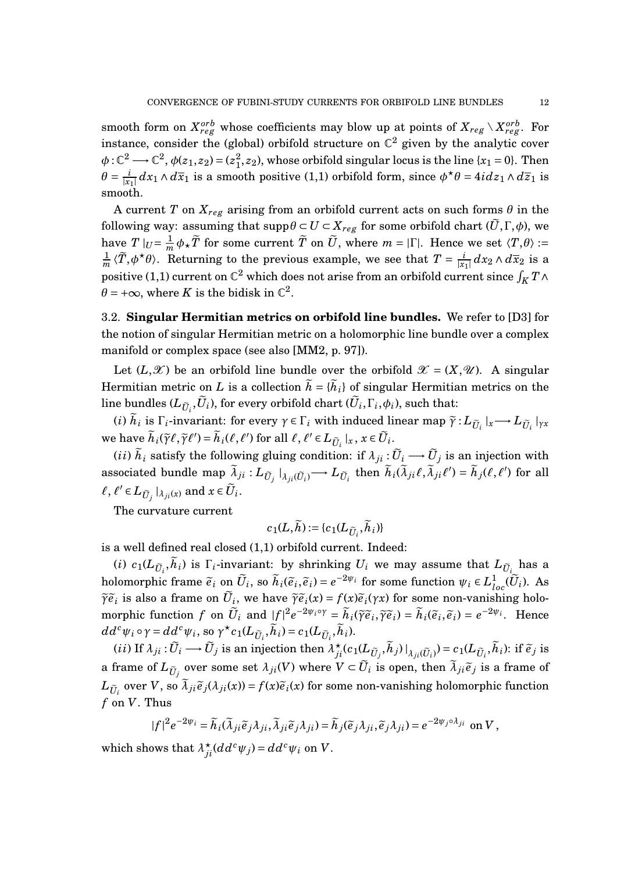smooth form on  $X_{reg}^{orb}$  whose coefficients may blow up at points of  $X_{reg} \setminus X_{reg}^{orb}$ . For instance, consider the (global) orbifold structure on  $\mathbb{C}^2$  given by the analytic cover  $\phi: \mathbb{C}^2 \longrightarrow \mathbb{C}^2$ ,  $\phi(z_1, z_2) = (z_1^2)$  $_1^2$ , *z*<sub>2</sub>), whose orbifold singular locus is the line {*x*<sub>1</sub> = 0}. Then  $\theta = \frac{i}{|x_1|} dx_1 \wedge d\overline{x}_1$  is a smooth positive (1,1) orbifold form, since  $\phi^* \theta = 4i dz_1 \wedge d\overline{z}_1$  is smooth.

A current *T* on  $X_{reg}$  arising from an orbifold current acts on such forms  $\theta$  in the following way: assuming that  $\text{supp}\theta \subset U \subset X_{reg}$  for some orbifold chart  $(\tilde{U}, \Gamma, \phi)$ , we have  $T|_{U} = \frac{1}{m}$  $\frac{1}{m}$   $\phi$   $_{\star}$   $\widetilde{T}$  for some current  $\widetilde{T}$  on  $\widetilde{U}$ , where  $m = |\Gamma|$ . Hence we set  $\langle T, \theta \rangle :=$ 1  $\frac{1}{m}$   $\langle \tilde{T}, \phi^{\star}\theta \rangle$ . Returning to the previous example, we see that  $T = \frac{i}{|x_1|} dx_2 \wedge d\overline{x}_2$  is a positive (1,1) current on  $\mathbb{C}^2$  which does not arise from an orbifold current since  $\int_K T$  ∧  $\theta$  = + $\infty$ , where *K* is the bidisk in  $\mathbb{C}^2$ .

3.2. **Singular Hermitian metrics on orbifold line bundles.** We refer to [D3] for the notion of singular Hermitian metric on a holomorphic line bundle over a complex manifold or complex space (see also [MM2, p. 97]).

Let  $(L,\mathscr{X})$  be an orbifold line bundle over the orbifold  $\mathscr{X} = (X,\mathscr{U})$ . A singular Hermitian metric on *L* is a collection  $\tilde{h} = {\tilde{h}}_i$  of singular Hermitian metrics on the line bundles  $(L_{\tilde{U}_i}, U_i)$ , for every orbifold chart  $(U_i, \Gamma_i, \phi_i)$ , such that:

(*i*)  $\tilde{h}_i$  is  $\Gamma_i$ -invariant: for every  $\gamma \in \Gamma_i$  with induced linear map  $\tilde{\gamma}: L_{\tilde{U}_i}|_x \longrightarrow L_{\tilde{U}_i}|_{\gamma x}$ we have  $\widetilde{h}_i(\widetilde{\gamma}\ell, \widetilde{\gamma}\ell') = \widetilde{h}_i(\ell, \ell')$  for all  $\ell, \ell' \in L_{\widetilde{U}_i}|_x, x \in \widetilde{U}_i$ .

 $(i i)$   $\tilde{h}_i$  satisfy the following gluing condition: if  $\lambda_{ji}$  :  $\tilde{U}_i$   $\longrightarrow$   $\tilde{U}_j$  is an injection with associated bundle map  $\tilde{\lambda}_{ji}: L_{\tilde{U}_j}|_{\lambda_{ji}(\tilde{U}_i)} \to L_{\tilde{U}_i}$  then  $\tilde{h}_i(\tilde{\lambda}_{ji}\ell, \tilde{\lambda}_{ji}\ell') = \tilde{h}_j(\ell, \ell')$  for all  $\ell, \ell' \in L_{\tilde{U}_j} \mid_{\lambda_{ji}(x)} \text{ and } x \in \tilde{U}_i.$ 

The curvature current

$$
c_1(L,\widetilde{h}) := \{c_1(L_{\widetilde{U}_i},\widetilde{h}_i)\}\
$$

is a well defined real closed (1,1) orbifold current. Indeed:

(*i*)  $c_1(L_{\tilde{U}_i}, h_i)$  is  $\Gamma_i$ -invariant: by shrinking  $U_i$  we may assume that  $L_{\tilde{U}_i}$  has a holomorphic frame  $\tilde{e}_i$  on  $\tilde{U}_i$ , so  $\tilde{h}_i(\tilde{e}_i, \tilde{e}_i) = e^{-2\psi_i}$  for some function  $\psi_i \in L^1_{loc}(\tilde{U}_i)$ . As  $\widetilde{\gamma}e_i$  is also a frame on  $\widetilde{U}_i$ , we have  $\widetilde{\gamma}e_i(x) = f(x)\widetilde{e}_i(\gamma x)$  for some non-vanishing holomorphic function f on  $\tilde{U}_i$  and  $|f|^2 e^{-2\psi_i \circ \gamma} = \tilde{h}_i(\tilde{\gamma}\tilde{e}_i, \tilde{\gamma}\tilde{e}_i) = \tilde{h}_i(\tilde{e}_i, \tilde{e}_i) = e^{-2\psi_i}$ . Hence  $dd^c \psi_i \circ \gamma = dd^c \psi_i$ , so  $\gamma^* c_1(L_{\tilde{U}_i}, \tilde{h}_i) = c_1(L_{\tilde{U}_i}, \tilde{h}_i)$ .

(*ii*) If  $\lambda_{ji} : \widetilde{U}_i \longrightarrow \widetilde{U}_j$  is an injection then  $\lambda_{ji}^{\star}(c_1(L_{\widetilde{U}_j}, \widetilde{h}_j)|_{\lambda_{ji}(\widetilde{U}_i)}) = c_1(L_{\widetilde{U}_i}, \widetilde{h}_i)$ : if  $\widetilde{e}_j$  is a frame of  $L_{\tilde{U}_j}$  over some set  $\lambda_{ji}(V)$  where  $V \subset \tilde{U}_i$  is open, then  $\tilde{\lambda}_{ji} \tilde{e}_j$  is a frame of  $L_{\tilde{U}_i}$  over *V*, so  $\tilde{\lambda}_{ji} \tilde{e}_j(\lambda_{ji}(x)) = f(x) \tilde{e}_i(x)$  for some non-vanishing holomorphic function *f* on *V*. Thus

$$
|f|^2 e^{-2\psi_i} = \widetilde{h}_i(\widetilde{\lambda}_{ji}\widetilde{e}_j\lambda_{ji}, \widetilde{\lambda}_{ji}\widetilde{e}_j\lambda_{ji}) = \widetilde{h}_j(\widetilde{e}_j\lambda_{ji}, \widetilde{e}_j\lambda_{ji}) = e^{-2\psi_j \circ \lambda_{ji}} \text{ on } V,
$$

which shows that  $\lambda_{ji}^{\star}(dd^c \psi_j) = dd^c \psi_i$  on *V*.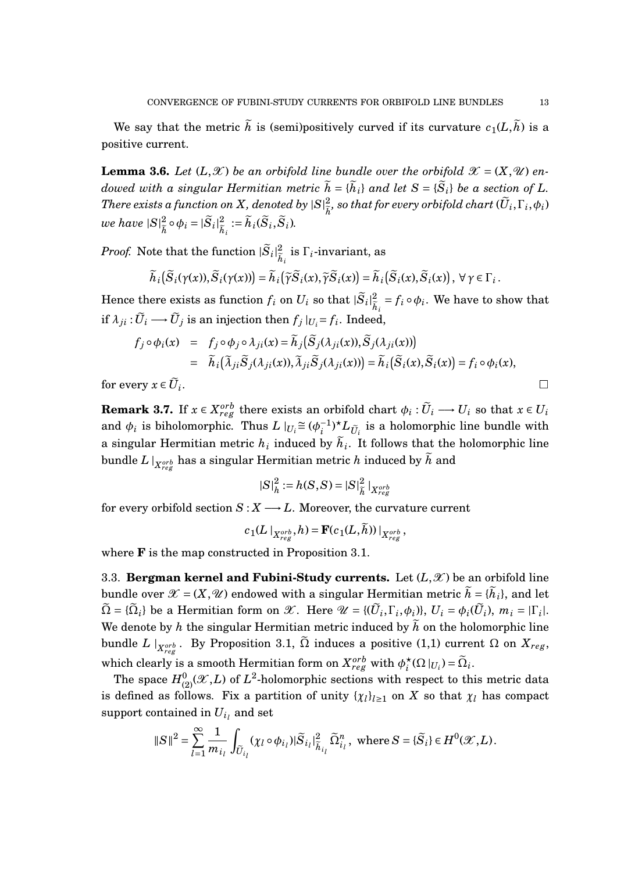We say that the metric  $\tilde{h}$  is (semi)positively curved if its curvature  $c_1(L,\tilde{h})$  is a positive current.

**Lemma 3.6.** Let  $(L, \mathcal{X})$  be an orbifold line bundle over the orbifold  $\mathcal{X} = (X, \mathcal{U})$  en*dowed with a singular Hermitian metric*  $\tilde{h} = {\{\tilde{h}_i\}}$  *and let*  $S = {\{\tilde{S}_i\}}$  *be a section of L. There exists a function on* X, denoted by  $|S|_{\tilde{z}}^2$  $\frac{2}{\hbar}$ , so that for every orbifold chart  $(U_i,\Gamma_i,\phi_i)$ we have  $|S|_{\widehat{\imath}}^2$  $\frac{2}{\tilde{h}} \circ \phi_i = |\tilde{S}_i|^2_{\tilde{h}}$  $\widetilde{h}_i := \widetilde{h}_i(\widetilde{S}_i, \widetilde{S}_i)$ .

*Proof.* Note that the function  $|\tilde{S}_i|^2_{\tilde{h}}$  $\frac{2}{\tilde{h}_i}$  is  $\Gamma_i$ -invariant, as

$$
\widetilde{h}_i\big(\widetilde{S}_i(\gamma(x)),\widetilde{S}_i(\gamma(x))\big)=\widetilde{h}_i\big(\widetilde{\gamma}\widetilde{S}_i(x),\widetilde{\gamma}\widetilde{S}_i(x)\big)=\widetilde{h}_i\big(\widetilde{S}_i(x),\widetilde{S}_i(x)\big),\ \forall\ \gamma\in\Gamma_i.
$$

Hence there exists as function  $f_i$  on  $U_i$  so that  $|\widetilde{S}_i|_{\widehat{h}}^2$  $\frac{2}{\widetilde{h}_i} = f_i \circ \phi_i$ . We have to show that if  $\lambda_{ji}$  :  $\widetilde{U}_i \longrightarrow \widetilde{U}_j$  is an injection then  $f_j|_{U_i} = f_i$ . Indeed,

$$
f_j \circ \phi_i(x) = f_j \circ \phi_j \circ \lambda_{ji}(x) = \tilde{h}_j(\tilde{S}_j(\lambda_{ji}(x)), \tilde{S}_j(\lambda_{ji}(x)))
$$
  
=  $\tilde{h}_i(\tilde{\lambda}_{ji}\tilde{S}_j(\lambda_{ji}(x)), \tilde{\lambda}_{ji}\tilde{S}_j(\lambda_{ji}(x))) = \tilde{h}_i(\tilde{S}_i(x), \tilde{S}_i(x)) = f_i \circ \phi_i(x),$   
very  $x \in \tilde{U}_i$ .

for every  $x \in U_i$ .

**Remark 3.7.** If  $x \in X_{reg}^{orb}$  there exists an orbifold chart  $\phi_i : \widetilde{U}_i \longrightarrow U_i$  so that  $x \in U_i$ and  $\phi_i$  is biholomorphic. Thus  $L \mid_{U_i} \cong (\phi_i^{-1})$  $\tilde{L}^{-1}_{ij} L_{\tilde{U}_i}$  is a holomorphic line bundle with a singular Hermitian metric  $h_i$  induced by  $h_i$ . It follows that the holomorphic line bundle  $L\mid_{X_{reg}^{orb}}$  has a singular Hermitian metric  $h$  induced by  $\widetilde{h}$  and

$$
|S|_{h}^{2} := h(S, S) = |S|_{\tilde{h}}^{2} |_{X_{reg}^{orb}}
$$

for every orbifold section  $S: X \longrightarrow L$ . Moreover, the curvature current

$$
c_1(L\mid_{X_{reg}^{orb}}, h) = \mathbf{F}(c_1(L,\widetilde{h}))\mid_{X_{reg}^{orb}},
$$

where **F** is the map constructed in Proposition 3.1.

3.3. **Bergman kernel and Fubini-Study currents.** Let  $(L,\mathcal{X})$  be an orbifold line bundle over  $\mathcal{X} = (X, \mathcal{U})$  endowed with a singular Hermitian metric  $\tilde{h} = {\tilde{h}}_i$ , and let  $\widetilde{\Omega} = \{\widetilde{\Omega}_i\}$  be a Hermitian form on  $\mathscr{X}$ . Here  $\mathscr{U} = \{(\widetilde{U}_i, \Gamma_i, \phi_i)\}, \ U_i = \phi_i(\widetilde{U}_i), \ m_i = |\Gamma_i|.$ We denote by  $h$  the singular Hermitian metric induced by  $\tilde{h}$  on the holomorphic line bundle *L*  $|_{X_{reg}^{orb}}$ . By Proposition 3.1,  $\widetilde{\Omega}$  induces a positive (1,1) current  $\Omega$  on  $X_{reg},$ which clearly is a smooth Hermitian form on  $X_{reg}^{orb}$  with  $\phi_i^{\star}$  $\sum_{i}^{*}$ ( $\Omega$ <sub>*lU<sub>i</sub>*</sub>) =  $\widetilde{\Omega}_i$ .

The space  $H^0_{(2)}(\mathscr{X},L)$  of  $L^2$ -holomorphic sections with respect to this metric data is defined as follows. Fix a partition of unity  $\{\chi_l\}_{l \geq 1}$  on  $X$  so that  $\chi_l$  has compact  ${\rm support~contained~in}~U_{i_l}$  and  ${\rm set}$ 

$$
\|S\|^2=\sum_{l=1}^\infty\frac{1}{m_{i_l}}\int_{\widetilde U_{i_l}}(\chi_l\circ\phi_{i_l})|\widetilde S_{i_l}|^2_{\widetilde h_{i_l}}\widetilde\Omega^n_{i_l}\,,\text{ where }S=\{\widetilde S_i\}\in H^0(\mathcal X,L)\,.
$$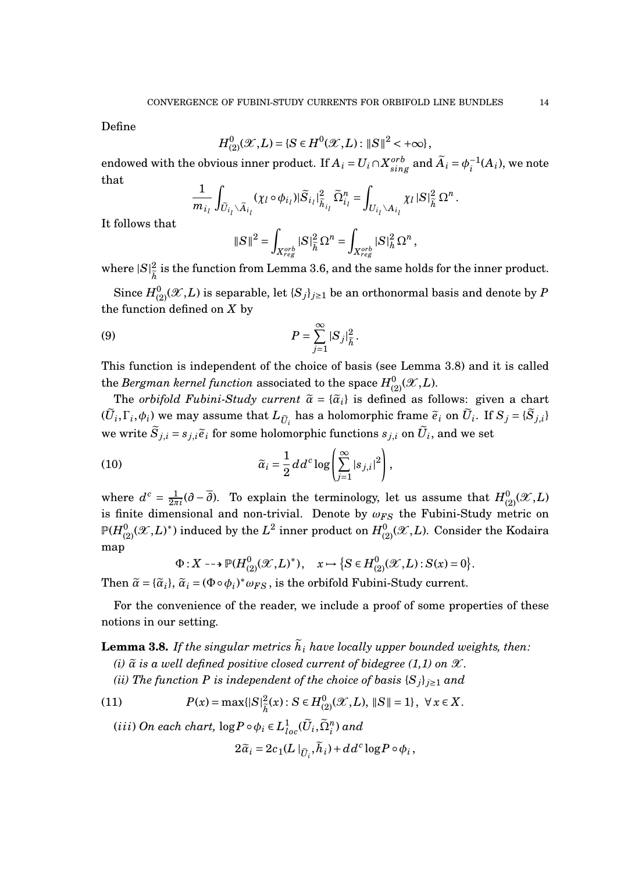Define

$$
H^0_{(2)}(\mathcal{X},L) = \{ S \in H^0(\mathcal{X},L) : ||S||^2 < +\infty \},
$$

endowed with the obvious inner product. If  $A_i = U_i \cap X_{sing}^{orb}$  and  $\widetilde{A}_i = \phi_i^{-1}$  $i^{-1}(A_i)$ , we note that

$$
\frac{1}{m_{i_l}}\int_{\widetilde{U}_{i_l}\backslash \widetilde{A}_{i_l}}(\chi_l\circ \phi_{i_l})|\widetilde{S}_{i_l}|^2_{\widetilde{h}_{i_l}}\widetilde{\Omega}_{i_l}^n=\int_{U_{i_l}\backslash A_{i_l}}\chi_l\left|S\right|^2_{\widetilde{h}}\Omega^n.
$$

It follows that

$$
\left\|S\right\|^2 = \int_{X_{reg}^{orb}} |S|^2_{\widetilde{h}} \Omega^n = \int_{X_{reg}^{orb}} |S|^2_{h} \Omega^n,
$$

where  $|S|_{\widetilde\tau}^2$ *h*e is the function from Lemma 3.6, and the same holds for the inner product.

 $\mathrm{Since} \ H^0_{(2)}(\mathscr{X},L)$  is separable, let  $\{S_j\}_{j\geq 1}$  be an orthonormal basis and denote by  $P$ the function defined on *X* by

(9) 
$$
P = \sum_{j=1}^{\infty} |S_j|_{\tilde{h}}^2.
$$

This function is independent of the choice of basis (see Lemma 3.8) and it is called  $\mathop{\rm the}\nolimits\mathop{\rm Bergman}\nolimits\mathop{\rm kernol}\nolimits\mathop{\rm function}\nolimits\mathop{\rm associated}\nolimits\mathop{\rm to}\nolimits\mathop{\rm the}\nolimits\mathop{\rm space}\nolimits H^0_{(2)}({\mathscr X},L).$ 

The *orbifold Fubini-Study current*  $\tilde{\alpha} = {\tilde{\alpha}_i}$  is defined as follows: given a chart  $(\widetilde{U}_i, \Gamma_i, \phi_i)$  we may assume that  $L_{\widetilde{U}_i}$  has a holomorphic frame  $\widetilde{e}_i$  on  $\widetilde{U}_i$ . If  $S_j = \{\widetilde{S}_{j,i}\}$ we write  $\widetilde{S}_{j,i} = s_{j,i}\widetilde{e}_i$  for some holomorphic functions  $s_{j,i}$  on  $\widetilde{U}_i$ , and we set

(10) 
$$
\widetilde{\alpha}_i = \frac{1}{2} d d^c \log \left( \sum_{j=1}^{\infty} |s_{j,i}|^2 \right),
$$

where  $d^c = \frac{1}{2\pi}$  $\frac{1}{2\pi i}(\partial - \overline{\partial})$ . To explain the terminology, let us assume that  $H^0_{(2)}(\mathscr{X}, L)$ is finite dimensional and non-trivial. Denote by  $ω_{FS}$  the Fubini-Study metric on  $\mathbb{P}(H^0_{(2)}(\mathscr{X},L)^*)$  induced by the  $L^2$  inner product on  $H^0_{(2)}(\mathscr{X},L)$ . Consider the Kodaira map

$$
\Phi: X \dashrightarrow \mathbb{P}(H^0_{(2)}(\mathcal{X}, L)^*), \quad x \mapsto \big\{ S \in H^0_{(2)}(\mathcal{X}, L) : S(x) = 0 \big\}.
$$

Then  $\tilde{\alpha} = {\{\tilde{\alpha}_i\}}$ ,  $\tilde{\alpha}_i = (\Phi \circ \phi_i)^* \omega_{FS}$ , is the orbifold Fubini-Study current.

For the convenience of the reader, we include a proof of some properties of these notions in our setting.

**Lemma 3.8.** If the singular metrics  $\tilde{h}_i$  have locally upper bounded weights, then: *(i)*  $\tilde{a}$  *is a well defined positive closed current of bidegree (1,1) on*  $\mathcal{X}$ *.* 

*(ii)* The function P is independent of the choice of basis  ${S_j}_{j \geq 1}$  and

(11) 
$$
P(x) = \max\{|S|^2_{\tilde{h}}(x): S \in H^0_{(2)}(\mathcal{X}, L), \|S\| = 1\}, \ \forall x \in X.
$$

 $(iii) On each chart,  $\log P \circ \phi_i \in L^1_{loc}(\tilde{U}_i, \tilde{\Omega}_i^n)$  and$ 

 $2\tilde{\alpha}_i = 2c_1(L\mid_{\widetilde{U}_i}, \widetilde{h}_i) + dd^c \log P \circ \phi_i,$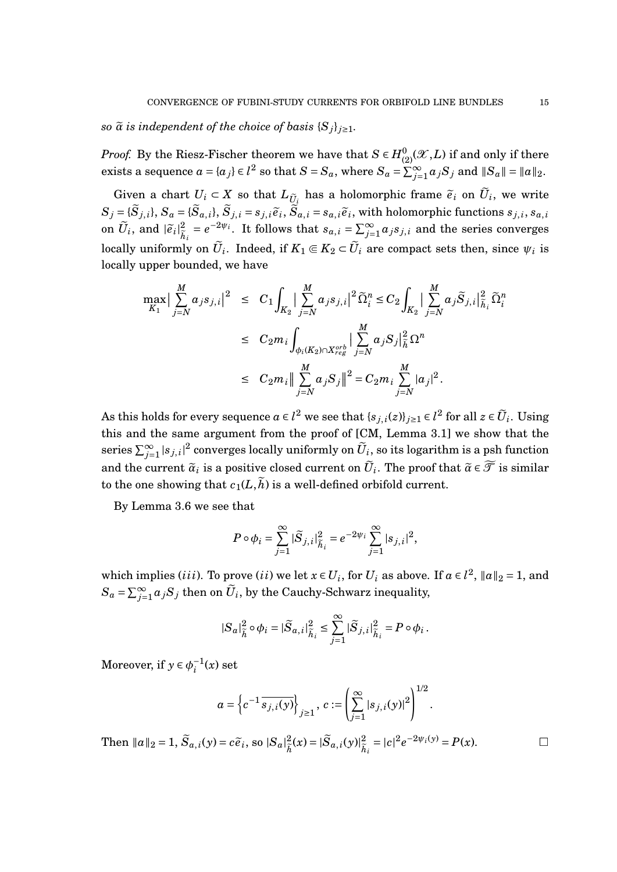*so*  $\tilde{\alpha}$  *is independent of the choice of basis*  $\{S_i\}_{i \geq 1}$ *.* 

*Proof.* By the Riesz-Fischer theorem we have that  $S \in H_{(2)}^{0}(\mathscr{X},L)$  if and only if there exists a sequence  $a = \{a_j\} \in l^2$  so that  $S = S_a$ , where  $S_a = \sum_{j=1}^{\infty} a_j S_j$  and  $||S_a|| = ||a||_2$ .

Given a chart  $U_i \subset X$  so that  $L_{\tilde{U}_i}$  has a holomorphic frame  $\tilde{e}_i$  on  $\tilde{U}_i$ , we write  $S_j = \{\widetilde{S}_{j,i}\}, S_a = \{\widetilde{S}_{a,i}\}, \widetilde{S}_{j,i} = s_{j,i}\widetilde{e}_i, \widetilde{S}_{a,i} = s_{a,i}\widetilde{e}_i$ , with holomorphic functions  $s_{j,i}, s_{a,i}$ on  $\widetilde{U}_i$ , and  $|\widetilde{e}_i|^2_{\widetilde{h}}$  $\frac{2}{\tilde{h}_i} = e^{-2\psi_i}$ . It follows that  $s_{a,i} = \sum_{j=1}^{\infty} a_j s_{j,i}$  and the series converges  $\text{locally uniformly on } \widetilde{U}_i. \text{ Indeed, if } K_1 \Subset K_2 \subset \widetilde{U}_i \text{ are compact sets then, since } \psi_i \text{ is }$ locally upper bounded, we have

$$
\max_{K_1} \Big| \sum_{j=N}^{M} a_j s_{j,i} \Big|^2 \leq C_1 \int_{K_2} \Big| \sum_{j=N}^{M} a_j s_{j,i} \Big|^2 \widetilde{\Omega}_i^n \leq C_2 \int_{K_2} \Big| \sum_{j=N}^{M} a_j \widetilde{S}_{j,i} \Big|_{\widetilde{h}_i}^2 \widetilde{\Omega}_i^n
$$
  

$$
\leq C_2 m_i \int_{\phi_i(K_2) \cap X_{reg}^{orb}} \Big| \sum_{j=N}^{M} a_j S_j \Big|_{\widetilde{h}}^2 \Omega^n
$$
  

$$
\leq C_2 m_i \Big\| \sum_{j=N}^{M} a_j S_j \Big\|^2 = C_2 m_i \sum_{j=N}^{M} |a_j|^2.
$$

As this holds for every sequence  $a \in l^2$  we see that  $\{s_{j,i}(z)\}_{j\geq 1} \in l^2$  for all  $z \in \tilde{U}_i$ . Using this and the same argument from the proof of [CM, Lemma 3.1] we show that the series  $\sum_{j=1}^{\infty} |s_{j,i}|^2$  converges locally uniformly on  $\widetilde{U}_i$ , so its logarithm is a psh function and the current  $\tilde{\alpha}_i$  is a positive closed current on  $\tilde{U}_i$ . The proof that  $\tilde{\alpha} \in \widetilde{\mathcal{T}}$  is similar to the one showing that  $c_1(L,\tilde{h})$  is a well-defined orbifold current.

By Lemma 3.6 we see that

$$
P \circ \phi_i = \sum_{j=1}^{\infty} |\widetilde{S}_{j,i}|_{\widetilde{h}_i}^2 = e^{-2\psi_i} \sum_{j=1}^{\infty} |s_{j,i}|^2,
$$

which implies (*iii*). To prove (*ii*) we let  $x \in U_i$ , for  $U_i$  as above. If  $a \in l^2$ ,  $||a||_2 = 1$ , and  $S_a = \sum_{j=1}^{\infty} a_j S_j$  then on  $\widetilde{U}_i$ , by the Cauchy-Schwarz inequality,

$$
|S_a|^2_{\tilde{h}}\circ\phi_i=|\widetilde{S}_{a,i}|^2_{\tilde{h}_i}\leq \sum_{j=1}^\infty |\widetilde{S}_{j,i}|^2_{\tilde{h}_i}=P\circ\phi_i\,.
$$

Moreover, if  $y \in \phi_i^{-1}$  $i^{-1}(x)$  set

$$
a = \left\{ c^{-1} \overline{s_{j,i}(y)} \right\}_{j \ge 1}, \ c := \left( \sum_{j=1}^{\infty} |s_{j,i}(y)|^2 \right)^{1/2}.
$$

Then  $||a||_2 = 1$ ,  $\widetilde{S}_{a,i}(y) = c\widetilde{e}_i$ , so  $|S_a|^2_{\widetilde{h}}$  $\frac{2}{\tilde{h}}(x) = |\tilde{S}_{a,i}(y)|^2_{\tilde{h}}$  $\frac{2}{h_i} = |c|^2 e^{-2\psi_i(y)} = P(x).$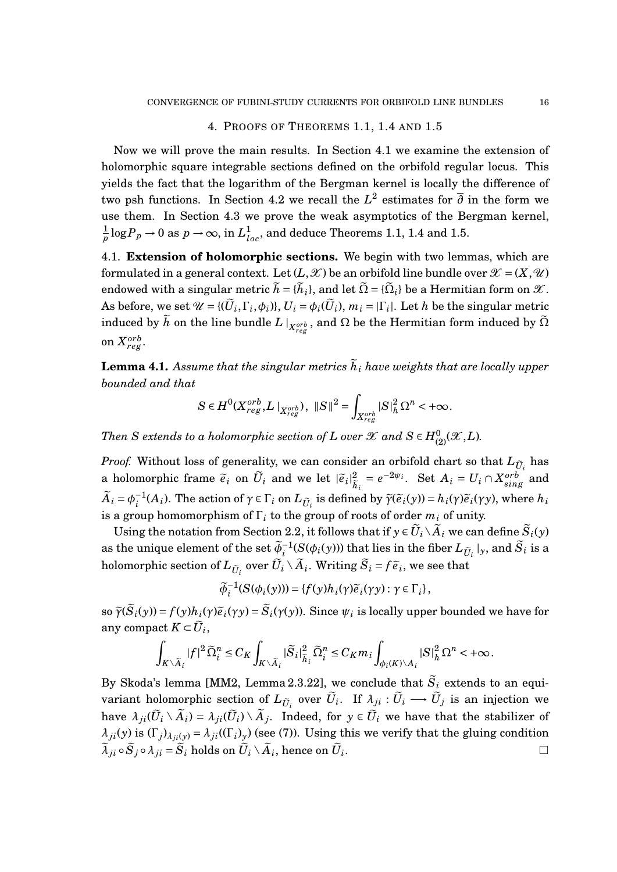## 4. PROOFS OF THEOREMS 1.1, 1.4 AND 1.5

Now we will prove the main results. In Section 4.1 we examine the extension of holomorphic square integrable sections defined on the orbifold regular locus. This yields the fact that the logarithm of the Bergman kernel is locally the difference of two psh functions. In Section 4.2 we recall the *L* 2 estimates for *∂* in the form we use them. In Section 4.3 we prove the weak asymptotics of the Bergman kernel, 1  $\frac{1}{p}$   $\log P_p$  → 0 as  $p$  →  $\infty,$  in  $L^1_{loc},$  and deduce Theorems 1.1, 1.4 and 1.5.

4.1. **Extension of holomorphic sections.** We begin with two lemmas, which are formulated in a general context. Let  $(L,\mathscr{X})$  be an orbifold line bundle over  $\mathscr{X} = (X,\mathscr{U})$ endowed with a singular metric  $\tilde{h} = {\tilde{h}}_i$ , and let  $\tilde{\Omega} = {\tilde{\Omega}}_i$  be a Hermitian form on  $\mathscr{X}$ .  $\mathbf{A}$ s before, we set  $\mathcal{U} = \{(\widetilde{U}_i, \Gamma_i, \phi_i)\}, U_i = \phi_i(\widetilde{U}_i), m_i = |\Gamma_i|.$  Let  $h$  be the singular metric induced by  $\widetilde{h}$  on the line bundle  $L\mid_{X^{orb}_{reg}},$  and  $\Omega$  be the Hermitian form induced by  $\widetilde{\Omega}$ on  $X_{reg}^{orb}.$ 

**Lemma 4.1.** Assume that the singular metrics  $\tilde{h}_i$  have weights that are locally upper *bounded and that*

$$
S\in H^0(X^{orb}_{reg},L\mid_{X^{orb}_{reg}}),\,\,\|S\|^2=\int_{X^{orb}_{reg}}|S|^2_h\,\Omega^n<+\infty.
$$

*Then*  $S$  *extends to a holomorphic section of*  $L$  *over*  $\mathscr X$  *and*  $S \in H^0_{(2)}(\mathscr X,L)$ *.* 

*Proof.* Without loss of generality, we can consider an orbifold chart so that  $L_{\tilde{U}_i}$  has a holomorphic frame  $\tilde{e}_i$  on  $\tilde{U}_i$  and we let  $|\tilde{e}_i|^2_{\tilde{h}}$  $\frac{2}{\tilde{h}_i} = e^{-2\psi_i}$ . Set  $A_i = U_i \cap X_{sing}^{orb}$  and  $\widetilde{A}_i = \phi_i^{-1}$  $\widetilde{\gamma}^{-1}(A_i)$ . The action of  $\gamma \in \Gamma_i$  on  $L_{\widetilde{U}_i}$  is defined by  $\widetilde{\gamma}(\widetilde{e}_i(y)) = h_i(\gamma)\widetilde{e}_i(\gamma y)$ , where  $h_i$ is a group homomorphism of  $\Gamma_i$  to the group of roots of order  $m_i$  of unity.

Using the notation from Section 2.2, it follows that if  $y \in \tilde{U}_i \setminus \tilde{A}_i$  we can define  $\tilde{S}_i(y)$ as the unique element of the set  $\widetilde{\phi}_i^{-1}(S(\phi_i(y)))$  that lies in the fiber  $L_{\widetilde{U}_i}|_y$ , and  $\widetilde{S}_i$  is a holomorphic section of  $L_{\tilde{U}_i}$  over  $\tilde{U}_i \setminus \tilde{A}_i$ . Writing  $\tilde{S}_i = f \, \widetilde{e}_i$ , we see that

$$
\widetilde{\phi}_i^{-1}(S(\phi_i(y))) = \{f(y)h_i(\gamma)\widetilde{e}_i(\gamma y) : \gamma \in \Gamma_i\},\
$$

so  $\widetilde{\gamma}(\widetilde{S}_i(y)) = f(y)h_i(\gamma)\widetilde{e}_i(\gamma y) = \widetilde{S}_i(\gamma(y))$ . Since  $\psi_i$  is locally upper bounded we have for any compact  $K \subset \widetilde{U}_i$ ,

$$
\int_{K\setminus \widetilde A_i}|f|^2\widetilde\Omega_i^n\leq C_K\int_{K\setminus \widetilde A_i}|\widetilde S_i|^2_{\widetilde h_i}\widetilde\Omega_i^n\leq C_K m_i\int_{\phi_i(K)\setminus A_i}|S|^2_h\Omega^n<+\infty.
$$

By Skoda's lemma [MM2, Lemma 2.3.22], we conclude that  $\tilde{S}_i$  extends to an equivariant holomorphic section of  $L_{\tilde{U}_i}$  over  $\tilde{U}_i$ . If  $\lambda_{ji} : \tilde{U}_i \longrightarrow \tilde{U}_j$  is an injection we have  $\lambda_{ji}(\tilde{U}_i \setminus \tilde{A}_i) = \lambda_{ji}(\tilde{U}_i) \setminus \tilde{A}_j$ . Indeed, for  $y \in \tilde{U}_i$  we have that the stabilizer of  $\lambda_{ji}(y)$  is  $(\Gamma_j)_{\lambda_{ji}(y)} = \lambda_{ji}((\Gamma_i)_y)$  (see (7)). Using this we verify that the gluing condition  $\widetilde{\lambda}_{ji} \circ \widetilde{S}_j \circ \lambda_{ji} = \widetilde{S}_i$  holds on  $\widetilde{U}_i \setminus \widetilde{A}_i$ , hence on  $\widetilde{U}_i$ .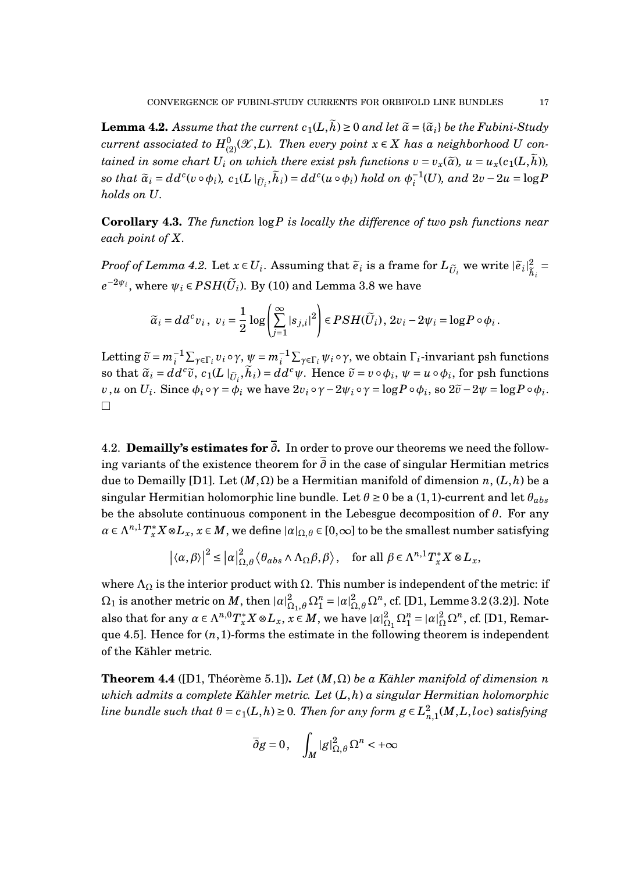**Lemma 4.2.** Assume that the current  $c_1(L, \tilde{h}) \ge 0$  and let  $\tilde{\alpha} = {\tilde{\alpha}}_i$  be the Fubini-Study  $current\ associated\ to\ H_{(2)}^{0}(\mathscr{X},L).$  Then every point  $x\in X$  has a neighborhood  $U$  con*tained in some chart*  $U_i$  *on which there exist psh functions*  $v = v_x(\tilde{a})$ ,  $u = u_x(c_1(L, \tilde{h}))$ , *so that*  $\widetilde{a}_i = dd^c(v \circ \phi_i), \ c_1(L \mid_{\widetilde{U}_i}, \widetilde{h}_i) = dd^c(u \circ \phi_i) \ hold \ on \ \phi_i^{-1}$ *i* (*U*)*, and* 2*v* −2*u* = log*P holds on U.*

**Corollary 4.3.** *The function* log*P is locally the difference of two psh functions near each point of X.*

*Proof of Lemma 4.2.* Let  $x \in U_i$ . Assuming that  $\tilde{e}_i$  is a frame for  $L_{\tilde{U}_i}$  we write  $|\tilde{e}_i|^2_{\tilde{h}_i}$  $h_i$ =  $e^{-2\psi_i}$ , where  $\psi_i \in PSH(\widetilde{U}_i)$ . By (10) and Lemma 3.8 we have

$$
\widetilde{\alpha}_i = dd^c v_i, \ v_i = \frac{1}{2} \log \left( \sum_{j=1}^{\infty} |s_{j,i}|^2 \right) \in PSH(\widetilde{U}_i), 2v_i - 2\psi_i = \log P \circ \phi_i.
$$

Letting  $\tilde{v} = m_i^{-1} \sum_{\gamma \in \Gamma_i} v_i \circ \gamma$ ,  $\psi = m_i^{-1} \sum_{\gamma \in \Gamma_i} \psi_i \circ \gamma$ , we obtain  $\Gamma_i$ -invariant psh functions so that  $\tilde{\alpha}_i = dd^c \tilde{v}$ ,  $c_1(L\mid_{\tilde{U}_i}, \tilde{h}_i) = dd^c \psi$ . Hence  $\tilde{v} = v \circ \phi_i$ ,  $\psi = u \circ \phi_i$ , for psh functions v, u on  $U_i$ . Since  $\phi_i \circ \gamma = \phi_i$  we have  $2v_i \circ \gamma - 2\psi_i \circ \gamma = \log P \circ \phi_i$ , so  $2\widetilde{v} - 2\psi = \log P \circ \phi_i$ .  $\Box$ 

4.2. **Demailly's estimates for** *∂***.** In order to prove our theorems we need the following variants of the existence theorem for *∂* in the case of singular Hermitian metrics due to Demailly [D1]. Let  $(M, \Omega)$  be a Hermitian manifold of dimension *n*,  $(L, h)$  be a singular Hermitian holomorphic line bundle. Let  $\theta \ge 0$  be a (1,1)-current and let  $\theta_{abs}$ be the absolute continuous component in the Lebesgue decomposition of *θ*. For any  $a \in \Lambda^{n,1}T^*_x X \otimes L_x$ ,  $x \in M$ , we define  $|a|_{\Omega,\theta} \in [0,\infty]$  to be the smallest number satisfying

$$
|\langle \alpha, \beta \rangle|^2 \leq |\alpha|_{\Omega, \theta}^2 \langle \theta_{abs} \wedge \Lambda_{\Omega} \beta, \beta \rangle, \quad \text{for all } \beta \in \Lambda^{n,1} T_x^* X \otimes L_x,
$$

where  $\Lambda_{\Omega}$  is the interior product with  $\Omega$ . This number is independent of the metric: if  $\Omega_1$  is another metric on  $M$ , then  $|a|^2_{\Omega_1,\theta}\Omega_1^n=|a|^2_{\Omega,\theta}\Omega^n$ , cf. [D1, Lemme 3.2 (3.2)]. Note also that for any  $\alpha \in \Lambda^{n,0} T^*_x X \otimes L_x$ ,  $x \in M$ , we have  $|\alpha|^2$  $\Omega_1^2 \Omega_1^n = |\alpha|_{\Omega}^2 \Omega^n$ , cf. [D1, Remarque 4.5]. Hence for (*n*,1)-forms the estimate in the following theorem is independent of the Kähler metric.

**Theorem 4.4** ([D1, Théorème 5.1]). *Let*  $(M, \Omega)$  *be a Kähler manifold of dimension n which admits a complete Kähler metric. Let* (*L*,*h*) *a singular Hermitian holomorphic line bundle such that*  $\theta = c_1(L,h) \geq 0$ *. Then for any form*  $g \in L^2_{\pi}$ *n*,1 (*M*,*L*,*loc*) *satisfying*

$$
\overline{\partial}g=0\,,\quad \int_M|g|_{\Omega,\theta}^2\,\Omega^n<+\infty
$$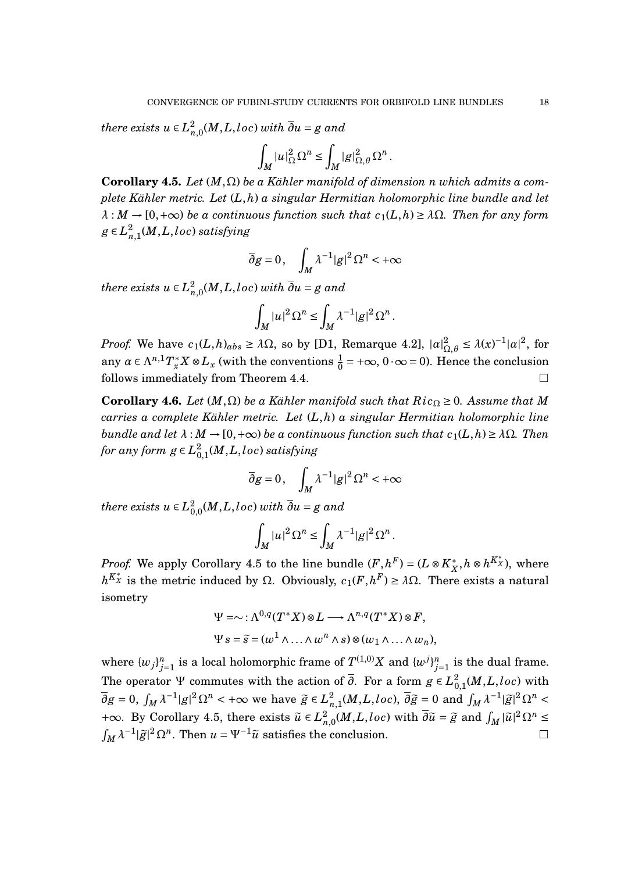*there exists*  $u \in L^2$ *n*,0 (*M*,*L*,*loc*) *with ∂u* = *g and*

$$
\int_M |u|_{\Omega}^2 \Omega^n \le \int_M |g|_{\Omega,\theta}^2 \Omega^n.
$$

**Corollary 4.5.** *Let* (*M*,Ω) *be a Kähler manifold of dimension n which admits a complete Kähler metric. Let* (*L*,*h*) *a singular Hermitian holomorphic line bundle and let*  $\lambda : M \to [0, +\infty)$  *be a continuous function such that*  $c_1(L, h) \geq \lambda \Omega$ *. Then for any form*  $g \in L^2_n$ *n*,1 (*M*,*L*,*loc*) *satisfying*

$$
\overline{\partial}g = 0, \quad \int_M \lambda^{-1} |g|^2 \Omega^n < +\infty
$$

*there exists*  $u \in L^2$ *n*,0 (*M*,*L*,*loc*) *with ∂u* = *g and*

$$
\int_M |u|^2 \Omega^n \le \int_M \lambda^{-1} |g|^2 \Omega^n.
$$

*Proof.* We have  $c_1(L, h)_{abs} \geq \lambda \Omega$ , so by [D1, Remarque 4.2],  $|a|_{\Omega}^2$  $\Omega_{\Omega,\theta} \leq \lambda(x)^{-1} |\alpha|^2$ , for any  $\alpha \in \Lambda^{n,1} T^*_x X \otimes L_x$  (with the conventions  $\frac{1}{0} = +\infty$ ,  $0 \cdot \infty = 0$ ). Hence the conclusion follows immediately from Theorem 4.4.

**Corollary 4.6.** *Let*  $(M, \Omega)$  *be a Kähler manifold such that*  $Ric_{\Omega} \geq 0$ *. Assume that M carries a complete Kähler metric. Let* (*L*,*h*) *a singular Hermitian holomorphic line bundle and let*  $\lambda : M \to [0, +\infty)$  *be a continuous function such that*  $c_1(L, h) \geq \lambda \Omega$ *. Then for any form*  $g \in L^2_{0}$ 0,1 (*M*,*L*,*loc*) *satisfying*

$$
\overline{\partial}g = 0, \quad \int_M \lambda^{-1} |g|^2 \Omega^n < +\infty
$$

*there exists*  $u \in L^2_{0}$  $_{0,0}^{2}(M,L,loc)$  with  $\overline{\partial }u=g$  and

$$
\int_M |u|^2 \Omega^n \le \int_M \lambda^{-1} |g|^2 \Omega^n.
$$

*Proof.* We apply Corollary 4.5 to the line bundle  $(F, h^F) = (L \otimes K_X^*)$  $\chi^*$ , *h* ⊗ *h*<sup>K</sup><sup> $x$ </sup>), where *h*<sup>*K*<sup>\*</sup><sub>*x*</sub></sup> is the metric induced by Ω. Obviously, *c*<sub>1</sub>(*F*,*h*<sup>*F*</sup>) ≥ *λ*Ω. There exists a natural isometry

$$
\Psi = \sim : \Lambda^{0,q}(T^*X) \otimes L \longrightarrow \Lambda^{n,q}(T^*X) \otimes F,
$$
  

$$
\Psi s = \tilde{s} = (w^1 \wedge \ldots \wedge w^n \wedge s) \otimes (w_1 \wedge \ldots \wedge w_n),
$$

where  $\{w_j\}_{j=1}^n$  is a local holomorphic frame of  $T^{(1,0)}X$  and  $\{w^j\}_{j=1}^n$  is the dual frame. The operator  $\Psi$  commutes with the action of  $\overline{\partial}$ . For a form  $g \in L^2_{0}$  $_{0,1}^{2}(M,L,loc)$  with  $\overline{\partial}g = 0$ ,  $\int_M \lambda^{-1} |g|^2 \Omega^n < +\infty$  we have  $\widetilde{g} \in L^2$  $\frac{2}{n,1}(M,L,loc)$ ,  $\overline{\partial}\widetilde{g} = 0$  and  $\int_M \lambda^{-1}|\widetilde{g}|^2 \Omega^n <$ +∞. By Corollary 4.5, there exists  $\tilde{u} \in L^2_n$  $\frac{2}{n,0}(M,L,loc)$  with  $\overline{\partial}\widetilde{u} = \widetilde{g}$  and  $\int_M |\widetilde{u}|^2 \Omega^n \leq$  $\int_M \lambda^{-1} |\tilde{g}|^2 \Omega^n$ . Then  $u = \Psi^{-1} \tilde{u}$  satisfies the conclusion.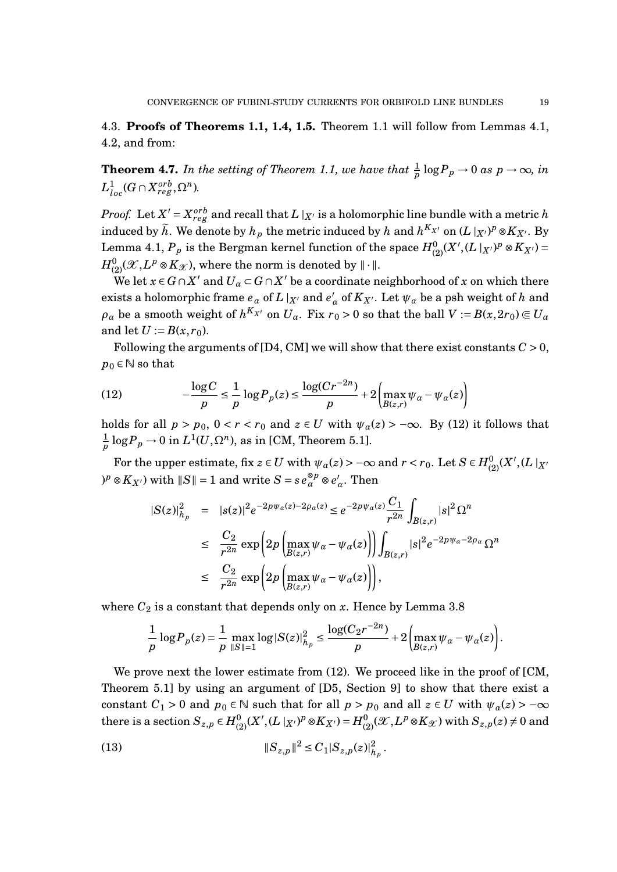4.3. **Proofs of Theorems 1.1, 1.4, 1.5.** Theorem 1.1 will follow from Lemmas 4.1, 4.2, and from:

**Theorem 4.7.** In the setting of Theorem 1.1, we have that  $\frac{1}{p} \log P_p \to 0$  as  $p \to \infty$ , in  $L^1_{loc}(G \cap X_{reg}^{orb}, \Omega^n)$ .

*Proof.* Let  $X'$  =  $X_{reg}^{orb}$  and recall that  $L\mid_{X'}$  is a holomorphic line bundle with a metric  $h$ induced by  $\widetilde{h}$ . We denote by  $h_p$  the metric induced by  $h$  and  $h^{K_{X'}}$  on  $(L\mid_{X'})^p\otimes K_{X'}$ . By  $\text{Lemma 4.1, } P_p \text{ is the Bergman kernel function of the space } H^0_{(2)}(X', (L\mid_{X'})^p \otimes K_{X'}) = 0.$  $H^0_{(2)}(\mathscr{X}, L^p\otimes K_{\mathscr{X}})$ , where the norm is denoted by  $\|\cdot\|.$ 

We let  $x \in G \cap X'$  and  $U_\alpha \subset G \cap X'$  be a coordinate neighborhood of  $x$  on which there exists a holomorphic frame  $e_\alpha$  of  $L\mid_{X'}$  and  $e_\alpha'$  $\alpha'$ <sub>α</sub> of  $K_{X'}$ . Let  $\psi_\alpha$  be a psh weight of *h* and  $\rho_\alpha$  be a smooth weight of  $h^{K_{X'}}$  on  $U_\alpha$ . Fix  $r_0 > 0$  so that the ball  $V := B(x, 2r_0) \Subset U_\alpha$ and let  $U := B(x, r_0)$ .

Following the arguments of  $[D4, CM]$  we will show that there exist constants  $C > 0$ ,  $p_0 \in \mathbb{N}$  so that

(12) 
$$
-\frac{\log C}{p} \leq \frac{1}{p} \log P_p(z) \leq \frac{\log(Cr^{-2n})}{p} + 2 \left( \max_{B(z,r)} \psi_\alpha - \psi_\alpha(z) \right)
$$

holds for all  $p > p_0$ ,  $0 < r < r_0$  and  $z \in U$  with  $\psi_\alpha(z) > -\infty$ . By (12) it follows that 1  $\frac{1}{p} \log P_p \to 0$  in  $L^1(U,\Omega^n)$ , as in [CM, Theorem 5.1].

 $\text{For the upper estimate, fix } z \in U \text{ with } \psi_\alpha(z) > -\infty \text{ and } r < r_0. \text{ Let } S \in H^0_{(2)}(X', (L\mid_{X'} \mathcal{C}))$  $P^p \otimes K_{X'}$ ) with  $||S|| = 1$  and write  $S = s e_{\alpha}^{\otimes p} \otimes e_{\alpha'}^{\otimes p}$ *α* . Then

$$
\begin{array}{rcl} |S(z)|_{h_p}^2 & = & |s(z)|^2 e^{-2p\psi_{\alpha}(z) - 2\rho_{\alpha}(z)} \le e^{-2p\psi_{\alpha}(z)} \frac{C_1}{r^{2n}} \int_{B(z,r)} |s|^2 \Omega^n \\ & \le \frac{C_2}{r^{2n}} \exp\left(2p\left(\max_{B(z,r)} \psi_{\alpha} - \psi_{\alpha}(z)\right)\right) \int_{B(z,r)} |s|^2 e^{-2p\psi_{\alpha} - 2\rho_{\alpha}} \Omega^n \\ & \le \frac{C_2}{r^{2n}} \exp\left(2p\left(\max_{B(z,r)} \psi_{\alpha} - \psi_{\alpha}(z)\right)\right), \end{array}
$$

where  $C_2$  is a constant that depends only on  $x$ . Hence by Lemma 3.8

$$
\frac{1}{p} \log P_p(z) = \frac{1}{p} \max_{\|S\|=1} \log |S(z)|_{h_p}^2 \le \frac{\log (C_2 r^{-2n})}{p} + 2 \left( \max_{B(z,r)} \psi_\alpha - \psi_\alpha(z) \right).
$$

We prove next the lower estimate from  $(12)$ . We proceed like in the proof of [CM, Theorem 5.1] by using an argument of [D5, Section 9] to show that there exist a constant *C*<sub>1</sub> > 0 and  $p_0 \in \mathbb{N}$  such that for all  $p > p_0$  and all  $z \in U$  with  $\psi_\alpha(z) > -\infty$  $\mathbf{C}$  there is a section  $S_{z,p} \in H_{(2)}^{0}(X', (L\mid_{X'})^p \otimes K_{X'}) = H_{(2)}^{0}(\mathscr{X}, L^p \otimes K_{\mathscr{X}})$  with  $S_{z,p}(z) \neq 0$  and

(13) 
$$
||S_{z,p}||^2 \le C_1 |S_{z,p}(z)|_{h_p}^2.
$$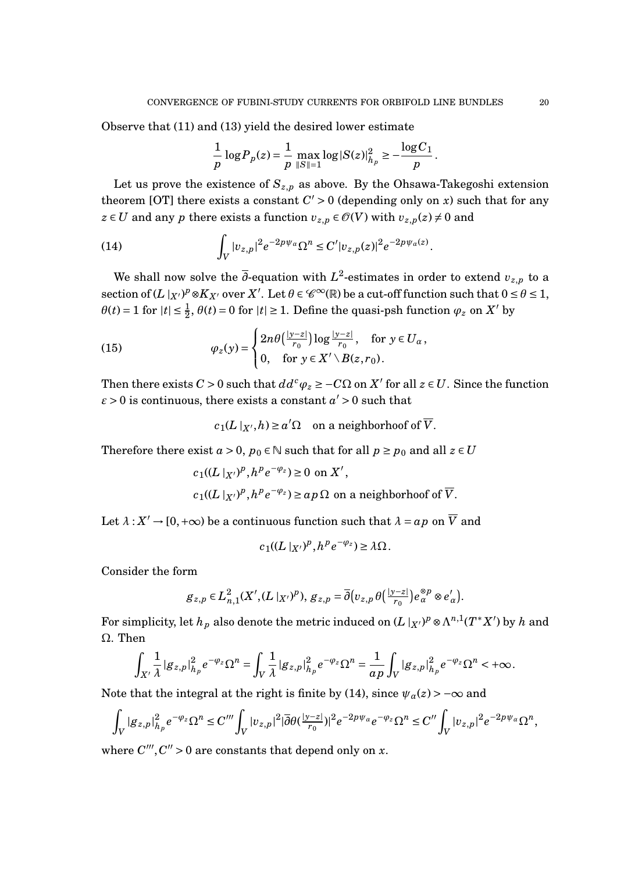Observe that (11) and (13) yield the desired lower estimate

$$
\frac{1}{p} \log P_p(z) = \frac{1}{p} \max_{\|S\|=1} \log |S(z)|_{h_p}^2 \ge -\frac{\log C_1}{p}.
$$

Let us prove the existence of  $S_{z,p}$  as above. By the Ohsawa-Takegoshi extension theorem [OT] there exists a constant  $C' > 0$  (depending only on *x*) such that for any *z* ∈ *U* and any *p* there exists a function  $v_{z,p}$  ∈  $\mathcal{O}(V)$  with  $v_{z,p}(z) \neq 0$  and

.

(14) 
$$
\int_{V} |v_{z,p}|^{2} e^{-2p\psi_{\alpha}} \Omega^{n} \leq C' |v_{z,p}(z)|^{2} e^{-2p\psi_{\alpha}(z)}
$$

We shall now solve the  $\overline{\partial}$ -equation with  $L^2$ -estimates in order to extend  $v_{z,p}$  to a  $\text{section of } (L\mid_{X'})^p \otimes K_{X'} \text{ over } X'. \text{ Let } \theta \in \mathscr{C}^\infty(\mathbb{R}) \text{ be a cut-off function such that } 0 \leq \theta \leq 1,$  $\theta(t) = 1$  for  $|t| \le \frac{1}{2}$ ,  $\theta(t) = 0$  for  $|t| \ge 1$ . Define the quasi-psh function  $\varphi_z$  on  $X'$  by

(15) 
$$
\varphi_z(y) = \begin{cases} 2n\theta\left(\frac{|y-z|}{r_0}\right) \log \frac{|y-z|}{r_0}, & \text{for } y \in U_\alpha, \\ 0, & \text{for } y \in X' \setminus B(z,r_0). \end{cases}
$$

Then there exists  $C > 0$  such that  $dd^c \varphi_z \geq -C\Omega$  on  $X'$  for all  $z \in U$ . Since the function  $\varepsilon$  > 0 is continuous, there exists a constant  $a'$  > 0 such that

$$
c_1(L \mid_{X'}, h) \ge a' \Omega
$$
 on a neighborhood of  $\overline{V}$ .

Therefore there exist  $a > 0$ ,  $p_0 \in \mathbb{N}$  such that for all  $p \geq p_0$  and all  $z \in U$ 

$$
c_1((L|_{X'})^p, h^p e^{-\varphi_z}) \ge 0 \text{ on } X',
$$
  

$$
c_1((L|_{X'})^p, h^p e^{-\varphi_z}) \ge ap \Omega \text{ on a neighborhood of } \overline{V}.
$$

Let  $\lambda$  :  $X' \to [0, +\infty)$  be a continuous function such that  $\lambda = ap$  on  $\overline{V}$  and

$$
c_1((L\mid_{X'})^p,h^pe^{-\varphi_z})\geq \lambda\Omega.
$$

Consider the form

$$
g_{z,p} \in L^2_{n,1}(X', (L\mid_{X'})^p), \, g_{z,p} = \overline{\partial}(v_{z,p}\theta\left(\frac{|y-z|}{r_0}\right)e_\alpha^{\otimes p} \otimes e_\alpha').
$$

For simplicity, let  $h_p$  also denote the metric induced on  $(L\mid _{X^{\prime}})^p\otimes \Lambda^{n,1}(T^*X^{\prime})$  by  $h$  and Ω. Then

$$
\int_{X'} \frac{1}{\lambda} |g_{z,p}|^2_{h_p} e^{-\varphi_z} \Omega^n = \int_V \frac{1}{\lambda} |g_{z,p}|^2_{h_p} e^{-\varphi_z} \Omega^n = \frac{1}{ap} \int_V |g_{z,p}|^2_{h_p} e^{-\varphi_z} \Omega^n < +\infty.
$$

Note that the integral at the right is finite by (14), since  $\psi_{\alpha}(z)$  > - $\infty$  and

$$
\int_{V} |g_{z,p}|_{h_p}^2 e^{-\varphi_z} \Omega^n \leq C''' \int_{V} |v_{z,p}|^2 |\overline{\partial} \theta(\frac{|y-z|}{r_0})|^2 e^{-2p\psi_{\alpha}} e^{-\varphi_z} \Omega^n \leq C'' \int_{V} |v_{z,p}|^2 e^{-2p\psi_{\alpha}} \Omega^n,
$$

where  $C'''$ ,  $C'' > 0$  are constants that depend only on *x*.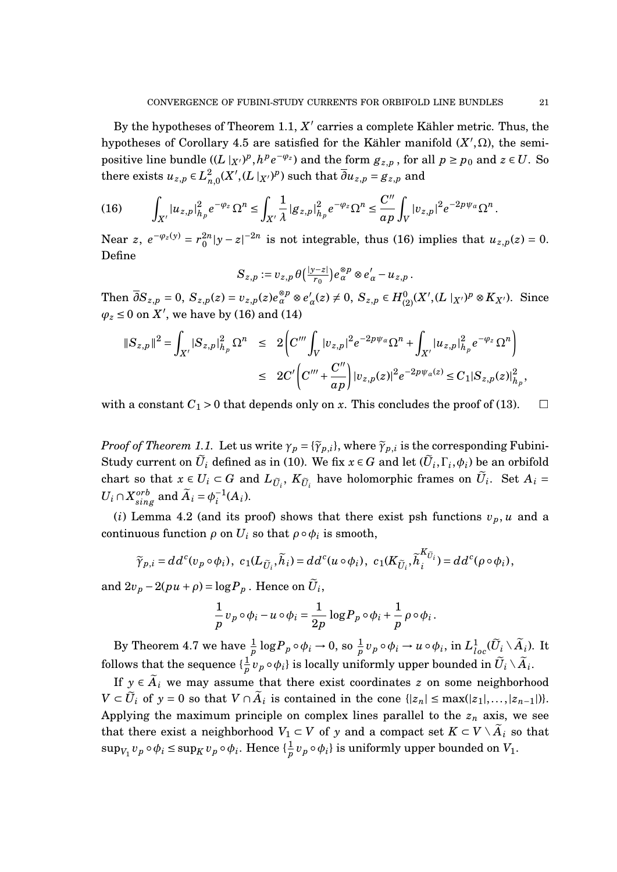By the hypotheses of Theorem 1.1,  $X'$  carries a complete Kähler metric. Thus, the hypotheses of Corollary 4.5 are satisfied for the Kähler manifold  $(X', \Omega)$ , the semipositive line bundle  $((L\vert_{X'})^p, h^pe^{-\varphi_z})$  and the form  $g_{z,p}$ , for all  $p \ge p_0$  and  $z \in U$ . So there exists  $u_{z,p} \in L^2$  $\frac{2}{n,0}(X', (L\mid_{X'})^p)$  such that  $\overline{\partial} u_{z,p} = g_{z,p}$  and

$$
(16) \qquad \int_{X'} |u_{z,p}|^2_{h_p} e^{-\varphi_z} \Omega^n \leq \int_{X'} \frac{1}{\lambda} |g_{z,p}|^2_{h_p} e^{-\varphi_z} \Omega^n \leq \frac{C''}{a p} \int_V |v_{z,p}|^2 e^{-2p\psi_\alpha} \Omega^n.
$$

Near  $z$ ,  $e^{-\varphi_z(y)} = r_0^{2n}$  $\int_0^{2n} |y - z|^{-2n}$  is not integrable, thus (16) implies that  $u_{z,p}(z) = 0$ . Define

$$
S_{z,p} := v_{z,p} \,\theta\left(\frac{|y-z|}{r_0}\right) e_{\alpha}^{\otimes p} \otimes e_{\alpha}' - u_{z,p} \,.
$$

Then  $\overline{\partial}S_{z,p} = 0$ ,  $S_{z,p}(z) = v_{z,p}(z)e_{\alpha}^{\otimes p} \otimes e_{\alpha}^{\dagger}$  $a'_{\alpha}(z) \neq 0$ ,  $S_{z,p} \in H_{(2)}^{0}(X', (L \mid_{X'})^{p} \otimes K_{X'})$ . Since  $\varphi_z \leq 0$  on  $\hat{X}$ <sup>'</sup>, we have by (16) and (14)

$$
\begin{aligned} \|S_{z,p}\|^2 &= \int_{X'} |S_{z,p}|^2_{h_p} \Omega^n &\leq 2 \bigg( C'''\int_V |v_{z,p}|^2 e^{-2p\psi_\alpha} \Omega^n + \int_{X'} |u_{z,p}|^2_{h_p} e^{-\varphi_z} \Omega^n \bigg) \\ &\leq 2C' \bigg( C'''+\frac{C''}{a p} \bigg) |v_{z,p}(z)|^2 e^{-2p\psi_\alpha(z)} \leq C_1 |S_{z,p}(z)|^2_{h_p}, \end{aligned}
$$

with a constant  $C_1 > 0$  that depends only on *x*. This concludes the proof of (13).  $\square$ 

*Proof of Theorem 1.1.* Let us write  $\gamma_p = {\{\widetilde{\gamma}_{p,i}\}}$ , where  $\widetilde{\gamma}_{p,i}$  is the corresponding Fubini-Study current on  $\widetilde{U}_i$  defined as in (10). We fix  $x \in G$  and let  $(\widetilde{U}_i,\Gamma_i,\phi_i)$  be an orbifold chart so that  $x \in U_i \subset G$  and  $L_{\tilde{U}_i}$ ,  $K_{\tilde{U}_i}$  have holomorphic frames on  $\tilde{U}_i$ . Set  $A_i =$  $U_i \cap X_{sing}^{orb}$  and  $\widetilde{A}_i = \phi_i^{-1}$  $i^{-1}(A_i)$ .

(*i*) Lemma 4.2 (and its proof) shows that there exist psh functions  $v_p$ , *u* and a continuous function  $\rho$  on  $U_i$  so that  $\rho \circ \phi_i$  is smooth,

$$
\widetilde{\gamma}_{p,i}=dd^c(v_p\circ\phi_i),\ c_1(L_{\widetilde{U}_i},\widetilde{h}_i)=dd^c(u\circ\phi_i),\ c_1(K_{\widetilde{U}_i},\widetilde{h}_i^{K_{\widetilde{U}_i}})=dd^c(\rho\circ\phi_i),
$$

and  $2v_p - 2(pu + \rho) = \log P_p$ . Hence on  $\widetilde{U}_i$ ,

$$
\frac{1}{p}v_p\circ\phi_i-u\circ\phi_i=\frac{1}{2p}\log P_p\circ\phi_i+\frac{1}{p}\rho\circ\phi_i
$$

.

By Theorem 4.7 we have  $\frac{1}{p} \log P_p \circ \phi_i \to 0$ , so  $\frac{1}{p} v_p \circ \phi_i \to u \circ \phi_i$ , in  $L^1_{loc}(\widetilde{U}_i \setminus \widetilde{A}_i)$ . It follows that the sequence  $\{\frac{1}{n}\}$  $\frac{1}{p} v_p \circ \phi_i \}$  is locally uniformly upper bounded in  $\widetilde{U}_i \setminus \widetilde{A}_i$ .

If  $y \in \tilde{A}_i$  we may assume that there exist coordinates *z* on some neighborhood  $V \subset \widetilde{U}_i$  of  $y = 0$  so that  $V \cap \widetilde{A}_i$  is contained in the cone  $\{|z_n| \le \max(|z_1|, \ldots, |z_{n-1}|)\}.$ Applying the maximum principle on complex lines parallel to the  $z<sub>n</sub>$  axis, we see that there exist a neighborhood  $V_1 \subset V$  of y and a compact set  $K \subset V \setminus \widetilde{A}_i$  so that  $\sup_{V_1} v_p \circ \phi_i \leq \sup_K v_p \circ \phi_i$ . Hence  $\{\frac{1}{p}\}$  $\frac{1}{p}v_p\circ \phi_i$ } is uniformly upper bounded on  $V_1.$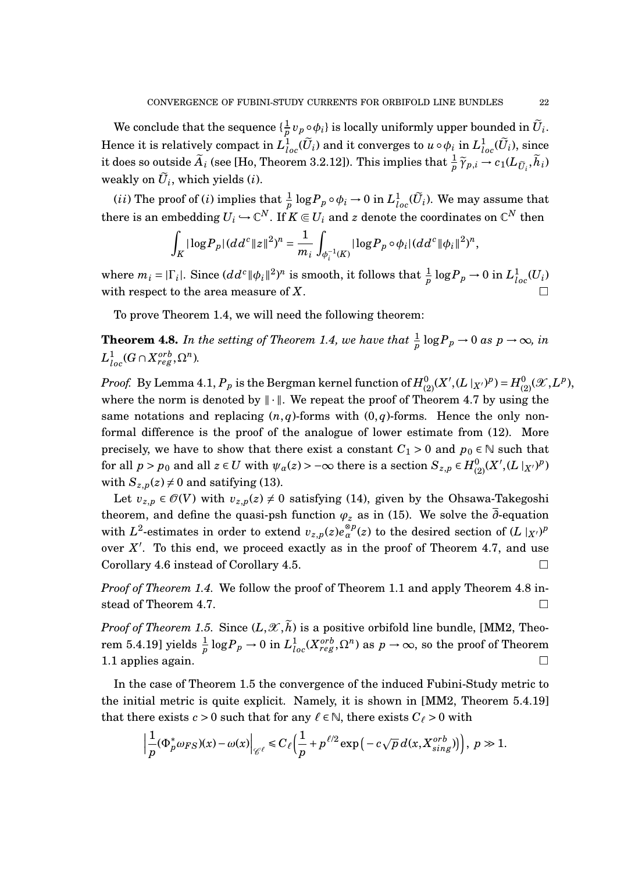We conclude that the sequence  $\{\frac{1}{n}\}$  $\frac{1}{p} v_p \circ \phi_i$ } is locally uniformly upper bounded in  $\widetilde{U}_i$ . Hence it is relatively compact in  $L^1_{loc}(\widetilde{U}_i)$  and it converges to  $u\circ \phi_i$  in  $L^1_{loc}(\widetilde{U}_i)$ , since it does so outside  $\widetilde{A}_i$  (see [Ho, Theorem 3.2.12]). This implies that  $\frac{1}{p}\widetilde{\gamma}_{p,i} \to c_1(L_{\widetilde{U}_i}, \widetilde{h}_i)$ weakly on  $U_i$ , which yields  $(i)$ .

(*ii*) The proof of (*i*) implies that  $\frac{1}{p} \log P_p \circ \phi_i \to 0$  in  $L^1_{loc}(\widetilde{U}_i)$ . We may assume that there is an embedding  $U_i \hookrightarrow \mathbb{C}^N.$  If  $K \Subset U_i$  and  $z$  denote the coordinates on  $\mathbb{C}^N$  then

$$
\int_K |\log P_p| (dd^c \|z\|^2)^n = \frac{1}{m_i} \int_{\phi_i^{-1}(K)} |\log P_p \circ \phi_i| (dd^c \| \phi_i\|^2)^n,
$$

where  $m_i = |\Gamma_i|$ . Since  $(dd^c \|\phi_i\|^2)^n$  is smooth, it follows that  $\frac{1}{p} \log P_p \to 0$  in  $L^1_{loc}(U_i)$ with respect to the area measure of *X*.

To prove Theorem 1.4, we will need the following theorem:

**Theorem 4.8.** In the setting of Theorem 1.4, we have that  $\frac{1}{p} \log P_p \to 0$  as  $p \to \infty$ , in  $L^1_{loc}(G \cap X_{reg}^{orb}, \Omega^n)$ .

 $Proof.$  By Lemma 4.1,  $P_p$  is the Bergman kernel function of  $H^0_{(2)}(X', (L\mid_{X'})^p)$  =  $H^0_{(2)}(\mathscr X, L^p),$ where the norm is denoted by  $\|\cdot\|$ . We repeat the proof of Theorem 4.7 by using the same notations and replacing  $(n, q)$ -forms with  $(0, q)$ -forms. Hence the only nonformal difference is the proof of the analogue of lower estimate from (12). More precisely, we have to show that there exist a constant  $C_1 > 0$  and  $p_0 \in \mathbb{N}$  such that  $\int$  for all  $p > p_0$  and all  $z \in U$  with  $\psi_\alpha(z) > -\infty$  there is a section  $S_{z,p} \in H^0_{(2)}(X', (L\mid_{X'})^p)$ with  $S_{z,p}(z) \neq 0$  and satifying (13).

Let  $v_{z,p} \in \mathcal{O}(V)$  with  $v_{z,p}(z) \neq 0$  satisfying (14), given by the Ohsawa-Takegoshi theorem, and define the quasi-psh function  $\varphi_z$  as in (15). We solve the  $\overline{\partial}$ -equation with  $L^2$ -estimates in order to extend  $v_{z,p}(z)e_{\alpha}^{\otimes p}(z)$  to the desired section of  $(L\mid_{X'})^p$ over  $X'$ . To this end, we proceed exactly as in the proof of Theorem 4.7, and use Corollary 4.6 instead of Corollary 4.5.

*Proof of Theorem 1.4.* We follow the proof of Theorem 1.1 and apply Theorem 4.8 instead of Theorem 4.7.

*Proof of Theorem 1.5.* Since  $(L, \mathcal{X}, \tilde{h})$  is a positive orbifold line bundle, [MM2, Theorem 5.4.19] yields  $\frac{1}{p} \log P_p \to 0$  in  $L^1_{loc}(X^{orb}_{reg},\Omega^n)$  as  $p\to\infty$ , so the proof of Theorem 1.1 applies again.

In the case of Theorem 1.5 the convergence of the induced Fubini-Study metric to the initial metric is quite explicit. Namely, it is shown in [MM2, Theorem 5.4.19] that there exists  $c > 0$  such that for any  $\ell \in \mathbb{N}$ , there exists  $C_{\ell} > 0$  with

$$
\left|\frac{1}{p}(\Phi_p^*\omega_{FS})(x)-\omega(x)\right|_{\mathscr{C}^\ell}\leq C_\ell\Big(\frac{1}{p}+p^{\ell/2}\exp\big(-c\sqrt{p}\,d(x,X_{sing}^{orb})\big)\Big),\ p\gg1.
$$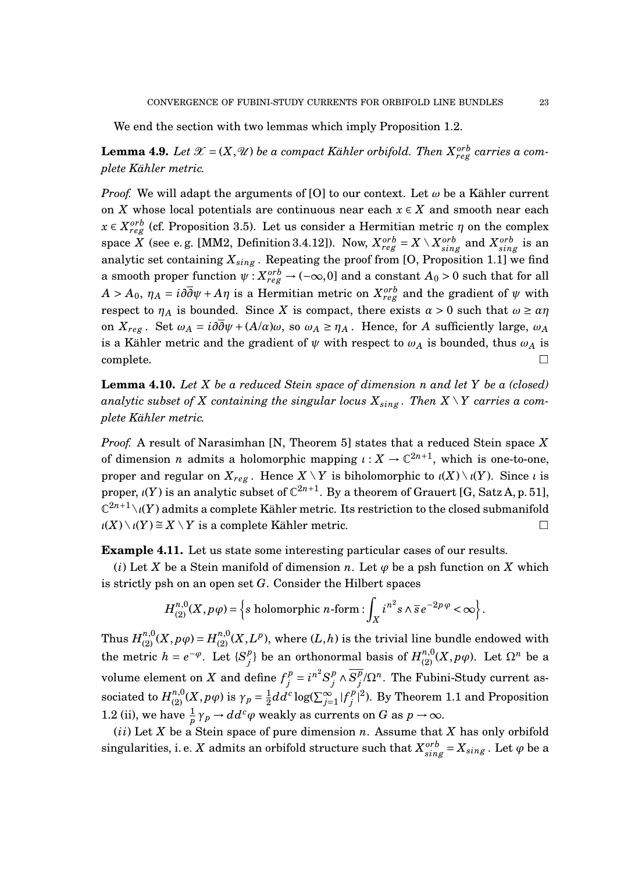We end the section with two lemmas which imply Proposition 1.2.

 ${\bf Lemma \ 4.9.} \ Let \ \mathscr{X} = (X, \mathscr{U}) \ be \ a \ compact \ K\ddot{a}hler \ orbifold. \ Then \ X^{orb}_{reg} \ carries \ a \ com$ *plete Kähler metric.*

*Proof.* We will adapt the arguments of [O] to our context. Let  $\omega$  be a Kähler current on *X* whose local potentials are continuous near each  $x \in X$  and smooth near each  $x \in X_{reg}^{orb}$  (cf. Proposition 3.5). Let us consider a Hermitian metric *η* on the complex  $a$  (see e.g. [MM2, Definition 3.4.12]). Now,  $X_{reg}^{orb} = X \setminus X_{sing}^{orb}$  and  $X_{sing}^{orb}$  is an analytic set containing  $X_{sing}$ . Repeating the proof from [O, Proposition 1.1] we find a smooth proper function  $\psi: X_{reg}^{orb} \to (-\infty, 0]$  and a constant  $A_0 > 0$  such that for all  $A > A_0, \ \eta_A = i\partial\overline{\partial}\psi + A\eta$  is a Hermitian metric on  $X^{orb}_{reg}$  and the gradient of  $\psi$  with respect to  $\eta_A$  is bounded. Since *X* is compact, there exists  $\alpha > 0$  such that  $\omega \ge \alpha \eta$ on  $X_{reg}$ . Set  $\omega_A = i\partial \overline{\partial} \psi + (A/\alpha)\omega$ , so  $\omega_A \ge \eta_A$ . Hence, for *A* sufficiently large,  $\omega_A$ is a Kähler metric and the gradient of  $\psi$  with respect to  $\omega_A$  is bounded, thus  $\omega_A$  is  $\Box$ complete.  $\Box$ 

**Lemma 4.10.** *Let X be a reduced Stein space of dimension n and let Y be a (closed) analytic subset of X containing the singular locus*  $X_{sing}$ *. Then*  $X \setminus Y$  *carries a complete Kähler metric.*

*Proof.* A result of Narasimhan [N, Theorem 5] states that a reduced Stein space *X* of dimension *n* admits a holomorphic mapping  $\iota : X \to \mathbb{C}^{2n+1}$ , which is one-to-one, proper and regular on  $X_{reg}$ . Hence  $X \setminus Y$  is biholomorphic to  $\iota(X) \setminus \iota(Y)$ . Since  $\iota$  is proper,  $\iota(Y)$  is an analytic subset of  $\mathbb{C}^{2n+1}$ . By a theorem of Grauert [G, Satz A, p. 51],  $\mathbb{C}^{2n+1}\backslash\iota(Y)$  admits a complete Kähler metric. Its restriction to the closed submanifold  $\iota(X) \setminus \iota(Y) \cong X \setminus Y$  is a complete Kähler metric.

**Example 4.11.** Let us state some interesting particular cases of our results.

(*i*) Let *X* be a Stein manifold of dimension *n*. Let  $\varphi$  be a psh function on *X* which is strictly psh on an open set *G*. Consider the Hilbert spaces

$$
H_{(2)}^{n,0}(X,p\,\varphi) = \left\{ s \text{ holomorphic } n\text{-form}: \int_X i^{n^2} s \wedge \overline{s} \, e^{-2p\,\varphi} < \infty \right\}.
$$

Thus  $H_{(2)}^{n,0}(X, p\,\varphi)$  =  $H_{(2)}^{n,0}(X,L^p),$  where  $(L,h)$  is the trivial line bundle endowed with the metric  $h = e^{-\varphi}$ . Let  $\{S_i^p\}$ *j*} be an orthonormal basis of  $H_{(2)}^{n,0}(X, pφ)$ . Let  $Ω^n$  be a volume element on *X* and define  $f_i^p$  $j^p = i^{n^2} S_j^p$  $\frac{p}{j}$  ∧  $\overline{S_j^p}$  $j^p/\Omega^n$ . The Fubini-Study current as- ${\rm sociated\ to}\ H^{n,0}_{(2)}(X,p\varphi) \hbox{ is }\gamma_p=\frac{1}{2}$  $\frac{1}{2}dd^c\log(\sum_{j=1}^{\infty}|f_j^p)$  $j^{(p)}$ <sup></sup>). By Theorem 1.1 and Proposition 1.2 (ii), we have  $\frac{1}{p}\gamma_p \rightarrow dd^c\varphi$  weakly as currents on *G* as  $p \rightarrow \infty$ .

 $(i)$  Let  $X$  be a Stein space of pure dimension  $n$ . Assume that  $X$  has only orbifold singularities, i. e. *X* admits an orbifold structure such that  $X_{sing}^{orb} = X_{sing}$  . Let  $\varphi$  be a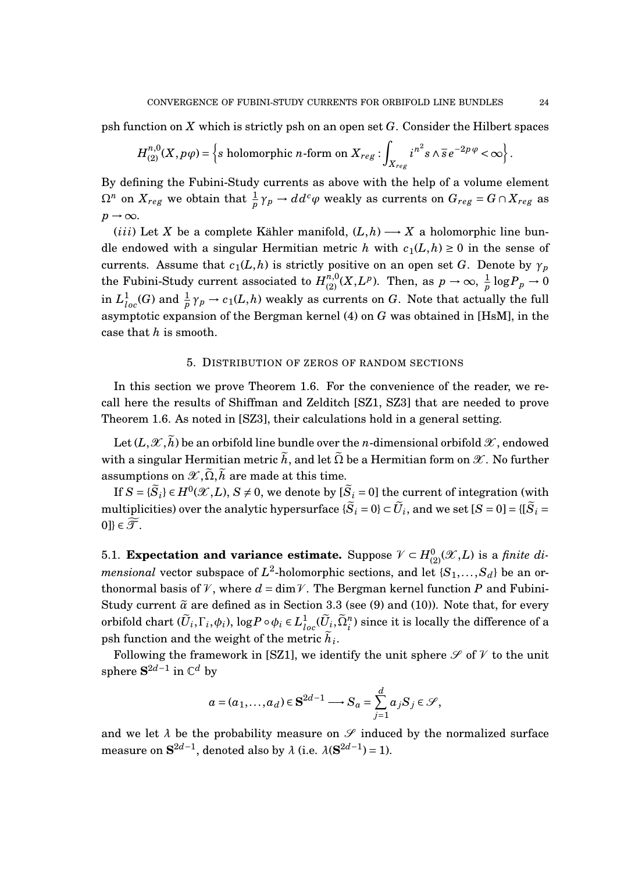psh function on *X* which is strictly psh on an open set *G*. Consider the Hilbert spaces

$$
H_{(2)}^{n,0}(X,p\varphi) = \left\{ s \text{ holomorphic } n \text{-form on } X_{reg} : \int_{X_{reg}} i^{n^2} s \wedge \overline{s} e^{-2p\varphi} < \infty \right\}.
$$

By defining the Fubini-Study currents as above with the help of a volume element  $\Omega^n$  on  $X_{reg}$  we obtain that  $\frac{1}{p}\gamma_p\to dd^c\varphi$  weakly as currents on  $G_{reg}=G\cap X_{reg}$  as  $p \rightarrow \infty$ .

(*iii*) Let *X* be a complete Kähler manifold,  $(L,h) \rightarrow X$  a holomorphic line bundle endowed with a singular Hermitian metric *h* with  $c_1(L, h) \geq 0$  in the sense of currents. Assume that  $c_1(L, h)$  is strictly positive on an open set *G*. Denote by  $\gamma_p$ the Fubini-Study current associated to  $H_{(2)}^{n,0}(X,L^p)$ . Then, as  $p \to \infty$ ,  $\frac{1}{p}$  $\frac{1}{p}\log P_p\to 0$ in  $L^1_{loc}(G)$  and  $\frac{1}{p}\gamma_p \to c_1(L,h)$  weakly as currents on  $G$ . Note that actually the full asymptotic expansion of the Bergman kernel (4) on *G* was obtained in [HsM], in the case that *h* is smooth.

## 5. DISTRIBUTION OF ZEROS OF RANDOM SECTIONS

In this section we prove Theorem 1.6. For the convenience of the reader, we recall here the results of Shiffman and Zelditch [SZ1, SZ3] that are needed to prove Theorem 1.6. As noted in [SZ3], their calculations hold in a general setting.

Let  $(L,\mathscr{X},\tilde{h})$  be an orbifold line bundle over the *n*-dimensional orbifold  $\mathscr{X}$ , endowed with a singular Hermitian metric  $\tilde{h}$ , and let  $\tilde{\Omega}$  be a Hermitian form on  $\mathscr{X}$ . No further assumptions on  $\mathscr{X}, \tilde{\Omega}, \tilde{h}$  are made at this time.

If  $S = \{\widetilde{S}_i\} \in H^0(\mathscr{X}, L)$ ,  $S \neq 0$ , we denote by  $[\widetilde{S}_i = 0]$  the current of integration (with  $\text{multiplicities)}$  over the analytic hypersurface  $\{\widetilde{S}_i=0\} \subset \widetilde{U}_i,$  and we set  $[S=0]=\{[\widetilde{S}_i=0]: 0\}$ 0]}  $\in \widetilde{\mathcal{T}}$ .

5.1. **Expectation and variance estimate.** Suppose  $V \subset H^0_{(2)}(\mathcal{X}, L)$  is a *finite dimensional* vector subspace of  $L^2$ -holomorphic sections, and let  $\{S_1, \ldots, S_d\}$  be an orthonormal basis of V, where  $d = \dim V$ . The Bergman kernel function P and Fubini-Study current  $\tilde{a}$  are defined as in Section 3.3 (see (9) and (10)). Note that, for every  $\text{orbifold chart } (\widetilde{U}_i, \Gamma_i, \phi_i), \log P \circ \phi_i \in L^1_{loc}(\widetilde{U}_i, \widetilde{\Omega}_i^n) \text{ since it is locally the difference of a }$ psh function and the weight of the metric  $h_i$ .

Following the framework in [SZ1], we identify the unit sphere  $\mathscr S$  of  $\mathscr V$  to the unit sphere  $S^{2d-1}$  in  $\mathbb{C}^d$  by

$$
a = (a_1, \ldots, a_d) \in \mathbf{S}^{2d-1} \longrightarrow S_a = \sum_{j=1}^d a_j S_j \in \mathcal{S},
$$

and we let  $\lambda$  be the probability measure on  $\mathscr S$  induced by the normalized surface measure on  $S^{2d-1}$ , denoted also by  $\lambda$  (i.e.  $\lambda(S^{2d-1}) = 1$ ).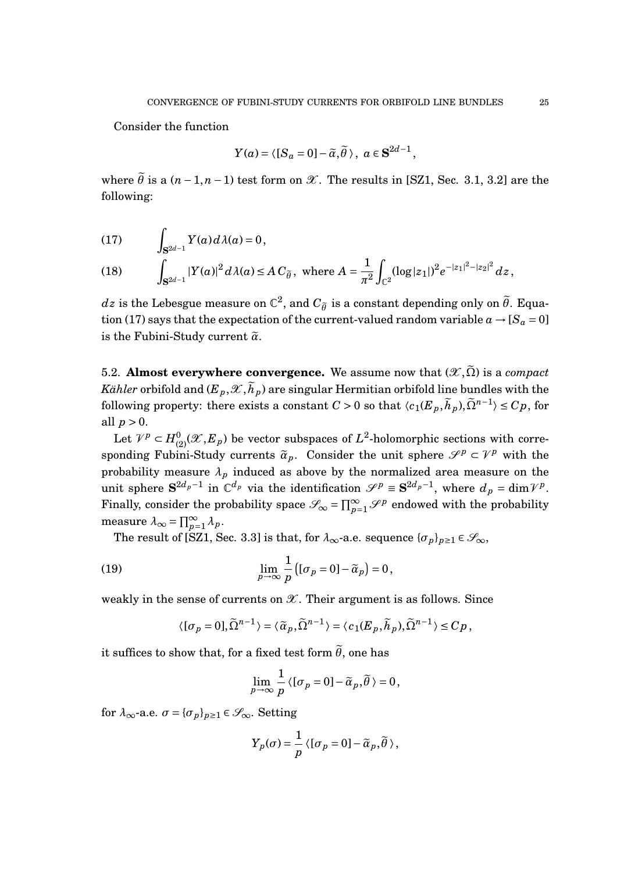Consider the function

$$
Y(a) = \langle [S_a = 0] - \widetilde{\alpha}, \widetilde{\theta} \rangle, \ a \in \mathbf{S}^{2d-1},
$$

where  $\tilde{\theta}$  is a  $(n-1,n-1)$  test form on  $\mathcal{X}$ . The results in [SZ1, Sec. 3.1, 3.2] are the following:

$$
(17) \qquad \int_{\mathbf{S}^{2d-1}} Y(a) d\lambda(a) = 0,
$$

(18) 
$$
\int_{\mathbf{S}^{2d-1}} |Y(a)|^2 d\lambda(a) \leq A C_{\tilde{\theta}}, \text{ where } A = \frac{1}{\pi^2} \int_{\mathbb{C}^2} (\log |z_1|)^2 e^{-|z_1|^2 - |z_2|^2} dz,
$$

*dz* is the Lebesgue measure on  $\mathbb{C}^2$ , and  $C_{\tilde{\theta}}$  is a constant depending only on  $\tilde{\theta}$ . Equation (17) says that the expectation of the current-valued random variable  $a \rightarrow [S_a = 0]$ is the Fubini-Study current  $\tilde{\alpha}$ .

5.2. **Almost everywhere convergence.** We assume now that  $(\mathscr{X}, \tilde{\Omega})$  is a *compact Kähler* orbifold and  $(E_p, \mathcal{X}, \tilde{h}_p)$  are singular Hermitian orbifold line bundles with the following property: there exists a constant  $C > 0$  so that  $\langle c_1(E_p, \tilde{h}_p), \tilde{\Omega}^{n-1} \rangle \leq Cp$ , for all  $p > 0$ .

Let  $V^p\subset H_{(2)}^0(\mathscr{X},E_p)$  be vector subspaces of  $L^2$ -holomorphic sections with corresponding Fubini-Study currents  $\tilde{\alpha}_p$ . Consider the unit sphere  $\mathscr{S}^p \subset \mathscr{V}^p$  with the probability measure  $\lambda_p$  induced as above by the normalized area measure on the unit sphere  $S^{2d_p-1}$  in  $\mathbb{C}^{d_p}$  via the identification  $\mathscr{S}^p \equiv S^{2d_p-1}$ , where  $d_p = \dim \mathcal{V}^p$ . Finally, consider the probability space  $\mathscr{S}_{\infty} = \prod_{p=1}^{\infty} \mathscr{S}^p$  endowed with the probability measure  $\lambda_{\infty} = \prod_{p=1}^{\infty} \lambda_p$ .

The result of [SZ1, Sec. 3.3] is that, for  $\lambda_{\infty}$ -a.e. sequence  $\{\sigma_p\}_{p\geq 1} \in \mathcal{S}_{\infty}$ ,

(19) 
$$
\lim_{p \to \infty} \frac{1}{p} \left( [\sigma_p = 0] - \tilde{\alpha}_p \right) = 0,
$$

weakly in the sense of currents on  $\mathscr X$ . Their argument is as follows. Since

$$
\langle [\sigma_p=0],\widetilde{\Omega}^{n-1}\rangle=\langle \widetilde{\alpha}_p,\widetilde{\Omega}^{n-1}\rangle=\langle c_1(E_p,\widetilde{h}_p),\widetilde{\Omega}^{n-1}\rangle\leq Cp\,,
$$

it suffices to show that, for a fixed test form  $\tilde{\theta}$ , one has

$$
\lim_{p\to\infty}\frac{1}{p}\left\langle [\sigma_p=0]-\widetilde{\alpha}_p,\widetilde{\theta}\right\rangle=0,
$$

for  $\lambda_{\infty}$ -a.e.  $\sigma = {\{\sigma_p\}}_{p \geq 1} \in \mathcal{S}_{\infty}$ . Setting

$$
Y_p(\sigma) = \frac{1}{p} \langle [\sigma_p = 0] - \widetilde{\alpha}_p, \widetilde{\theta} \rangle,
$$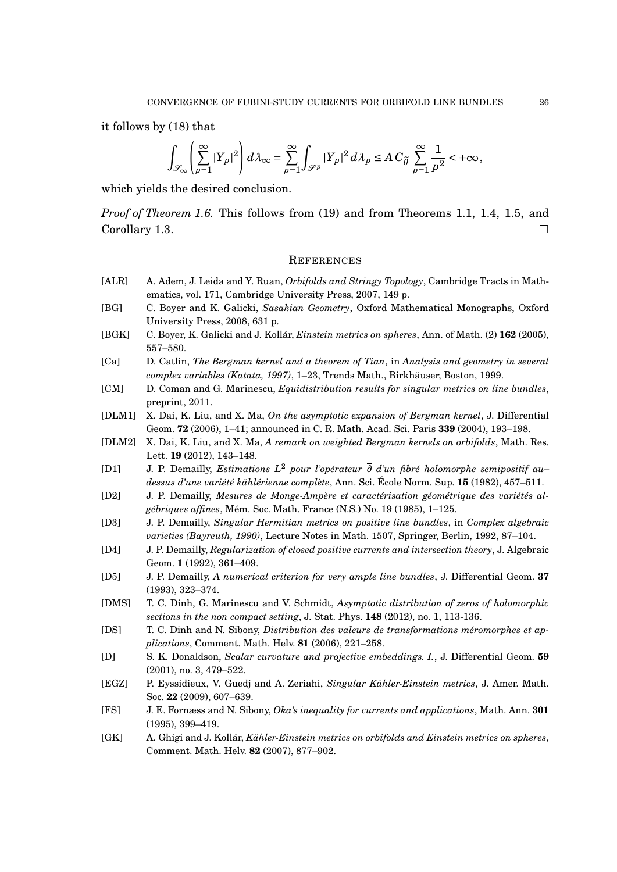it follows by (18) that

$$
\int_{\mathscr{S}_{\infty}}\left(\sum_{p=1}^{\infty}|Y_p|^2\right)d\lambda_{\infty}=\sum_{p=1}^{\infty}\int_{\mathscr{S}^p}|Y_p|^2\,d\lambda_p\leq A\,C_{\widetilde{\theta}}\,\sum_{p=1}^{\infty}\frac{1}{p^2}<+\infty,
$$

which yields the desired conclusion.

*Proof of Theorem 1.6.* This follows from (19) and from Theorems 1.1, 1.4, 1.5, and Corollary 1.3.  $\Box$ 

## **REFERENCES**

- [ALR] A. Adem, J. Leida and Y. Ruan, *Orbifolds and Stringy Topology*, Cambridge Tracts in Mathematics, vol. 171, Cambridge University Press, 2007, 149 p.
- [BG] C. Boyer and K. Galicki, *Sasakian Geometry*, Oxford Mathematical Monographs, Oxford University Press, 2008, 631 p.
- [BGK] C. Boyer, K. Galicki and J. Kollár, *Einstein metrics on spheres*, Ann. of Math. (2) **162** (2005), 557–580.
- [Ca] D. Catlin, *The Bergman kernel and a theorem of Tian*, in *Analysis and geometry in several complex variables (Katata, 1997)*, 1–23, Trends Math., Birkhäuser, Boston, 1999.
- [CM] D. Coman and G. Marinescu, *Equidistribution results for singular metrics on line bundles*, preprint, 2011.
- [DLM1] X. Dai, K. Liu, and X. Ma, *On the asymptotic expansion of Bergman kernel*, J. Differential Geom. **72** (2006), 1–41; announced in C. R. Math. Acad. Sci. Paris **339** (2004), 193–198.
- [DLM2] X. Dai, K. Liu, and X. Ma, *A remark on weighted Bergman kernels on orbifolds*, Math. Res. Lett. **19** (2012), 143–148.
- [D1] J. P. Demailly, *Estimations L* <sup>2</sup> *pour l'opérateur ∂ d'un fibré holomorphe semipositif au– dessus d'une variété kählérienne complète*, Ann. Sci. École Norm. Sup. **15** (1982), 457–511.
- [D2] J. P. Demailly, *Mesures de Monge-Ampère et caractérisation géométrique des variétés algébriques affines*, Mém. Soc. Math. France (N.S.) No. 19 (1985), 1–125.
- [D3] J. P. Demailly, *Singular Hermitian metrics on positive line bundles*, in *Complex algebraic varieties (Bayreuth, 1990)*, Lecture Notes in Math. 1507, Springer, Berlin, 1992, 87–104.
- [D4] J. P. Demailly, *Regularization of closed positive currents and intersection theory*, J. Algebraic Geom. **1** (1992), 361–409.
- [D5] J. P. Demailly, *A numerical criterion for very ample line bundles*, J. Differential Geom. **37** (1993), 323–374.
- [DMS] T. C. Dinh, G. Marinescu and V. Schmidt, *Asymptotic distribution of zeros of holomorphic sections in the non compact setting*, J. Stat. Phys. **148** (2012), no. 1, 113-136.
- [DS] T. C. Dinh and N. Sibony, *Distribution des valeurs de transformations méromorphes et applications*, Comment. Math. Helv. **81** (2006), 221–258.
- [D] S. K. Donaldson, *Scalar curvature and projective embeddings. I.*, J. Differential Geom. **59** (2001), no. 3, 479–522.
- [EGZ] P. Eyssidieux, V. Guedj and A. Zeriahi, *Singular Kähler-Einstein metrics*, J. Amer. Math. Soc. **22** (2009), 607–639.
- [FS] J. E. Fornæss and N. Sibony, *Oka's inequality for currents and applications*, Math. Ann. **301** (1995), 399–419.
- [GK] A. Ghigi and J. Kollár, *Kähler-Einstein metrics on orbifolds and Einstein metrics on spheres*, Comment. Math. Helv. **82** (2007), 877–902.